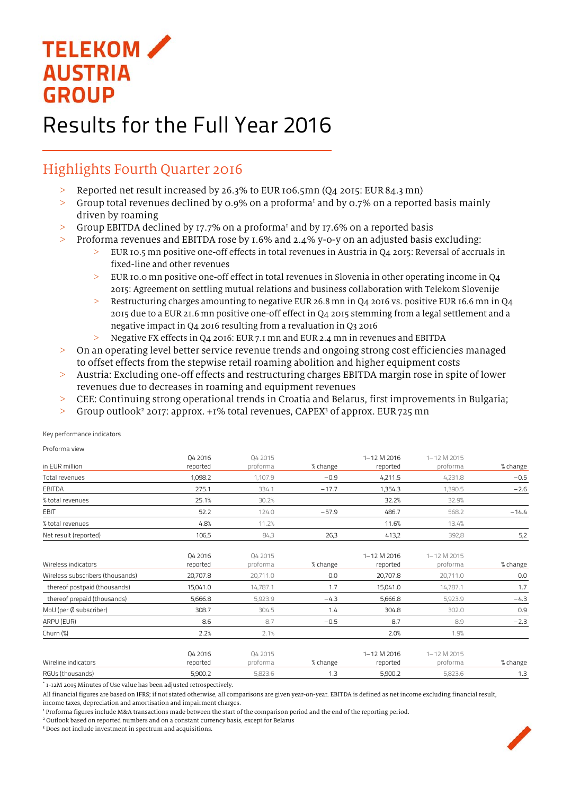## **TELEKOM AUSTRIA GROUP**

## Results for the Full Year 2016

## Highlights Fourth Quarter 2016

- > Reported net result increased by 26.3% to EUR 106.5mn (Q4 2015: EUR 84.3 mn)
- $>$  Group total revenues declined by 0.9% on a proforma<sup>1</sup> and by 0.7% on a reported basis mainly driven by roaming
- $>$  Group EBITDA declined by 17.7% on a proforma<sup>1</sup> and by 17.6% on a reported basis
- > Proforma revenues and EBITDA rose by 1.6% and 2.4% y-o-y on an adjusted basis excluding:
	- EUR 10.5 mn positive one-off effects in total revenues in Austria in Q4 2015: Reversal of accruals in fixed-line and other revenues
	- > EUR 10.0 mn positive one-off effect in total revenues in Slovenia in other operating income in Q4 2015: Agreement on settling mutual relations and business collaboration with Telekom Slovenije
	- $>$  Restructuring charges amounting to negative EUR 26.8 mn in Q4 2016 vs. positive EUR 16.6 mn in Q4 2015 due to a EUR 21.6 mn positive one-off effect in Q4 2015 stemming from a legal settlement and a negative impact in Q4 2016 resulting from a revaluation in Q3 2016
	- > Negative FX effects in Q4 2016: EUR 7.1 mn and EUR 2.4 mn in revenues and EBITDA
- > On an operating level better service revenue trends and ongoing strong cost efficiencies managed to offset effects from the stepwise retail roaming abolition and higher equipment costs
- > Austria: Excluding one-off effects and restructuring charges EBITDA margin rose in spite of lower revenues due to decreases in roaming and equipment revenues
- > CEE: Continuing strong operational trends in Croatia and Belarus, first improvements in Bulgaria;
- > Group outlook<sup>2</sup> 2017: approx. +1% total revenues, CAPEX<sup>3</sup> of approx. EUR 725 mn

Key performance indicators

| Proforma view                    |                     |                     |          |                         |                         |          |
|----------------------------------|---------------------|---------------------|----------|-------------------------|-------------------------|----------|
| in EUR million                   | Q4 2016<br>reported | Q4 2015<br>proforma | % change | 1-12 M 2016<br>reported | 1-12 M 2015<br>proforma | % change |
| Total revenues                   | 1,098.2             | 1,107.9             | $-0.9$   | 4,211.5                 | 4,231.8                 | $-0.5$   |
|                                  |                     |                     |          |                         |                         |          |
| <b>EBITDA</b>                    | 275.1               | 334.1               | $-17.7$  | 1,354.3                 | 1,390.5                 | $-2.6$   |
| % total revenues                 | 25.1%               | 30.2%               |          | 32.2%                   | 32.9%                   |          |
| <b>EBIT</b>                      | 52.2                | 124.0               | $-57.9$  | 486.7                   | 568.2                   | $-14.4$  |
| % total revenues                 | 4.8%                | 11.2%               |          | 11.6%                   | 13.4%                   |          |
| Net result (reported)            | 106,5               | 84,3                | 26,3     | 413,2                   | 392,8                   | 5,2      |
|                                  |                     |                     |          |                         |                         |          |
|                                  | 04 2016             | 04 2015             |          | 1-12 M 2016             | 1-12 M 2015             |          |
| Wireless indicators              | reported            | proforma            | % change | reported                | proforma                | % change |
| Wireless subscribers (thousands) | 20,707.8            | 20,711.0            | 0.0      | 20,707.8                | 20,711.0                | 0.0      |
| thereof postpaid (thousands)     | 15,041.0            | 14,787.1            | 1.7      | 15,041.0                | 14,787.1                | 1.7      |
| thereof prepaid (thousands)      | 5,666.8             | 5,923.9             | $-4.3$   | 5,666.8                 | 5,923.9                 | $-4.3$   |
| MoU (per Ø subscriber)           | 308.7               | 304.5               | 1.4      | 304.8                   | 302.0                   | 0.9      |
| ARPU (EUR)                       | 8.6                 | 8.7                 | $-0.5$   | 8.7                     | 8.9                     | $-2.3$   |
| Churn (%)                        | 2.2%                | 2.1%                |          | 2.0%                    | 1.9%                    |          |
|                                  |                     |                     |          |                         |                         |          |
|                                  | 04 2016             | 04 2015             |          | 1-12 M 2016             | 1-12 M 2015             |          |
| Wireline indicators              | reported            | proforma            | % change | reported                | proforma                | % change |
| RGUs (thousands)                 | 5,900.2             | 5,823.6             | 1.3      | 5,900.2                 | 5,823.6                 | 1.3      |
|                                  |                     |                     |          |                         |                         |          |

\* 1-12M 2015 Minutes of Use value has been adjusted retrospectively.

All financial figures are based on IFRS; if not stated otherwise, all comparisons are given year-on-year. EBITDA is defined as net income excluding financial result,

income taxes, depreciation and amortisation and impairment charges.

1 Proforma figures include M&A transactions made between the start of the comparison period and the end of the reporting period.

<sup>2</sup> Outlook based on reported numbers and on a constant currency basis, except for Belarus <sup>3</sup> Does not include investment in spectrum and acquisitions

<sup>3</sup> Does not include investment in spectrum and acquisitions.

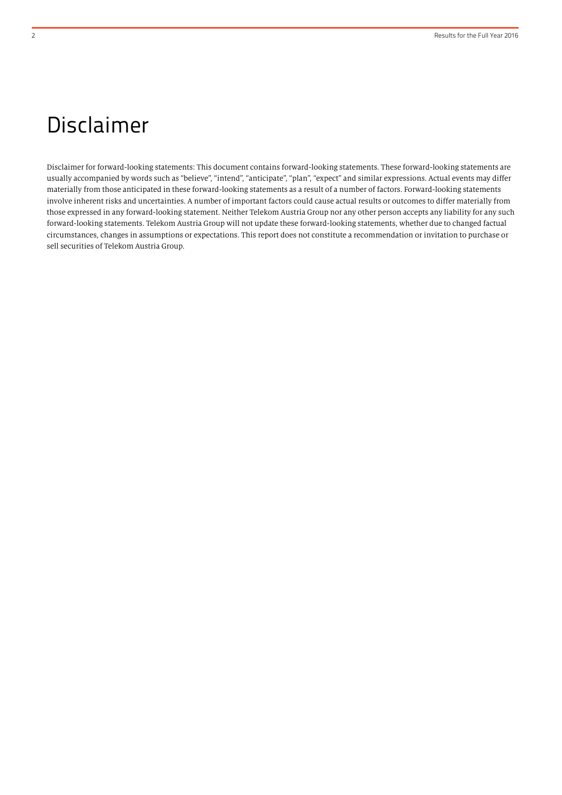## Disclaimer

Disclaimer for forward-looking statements: This document contains forward-looking statements. These forward-looking statements are usually accompanied by words such as "believe", "intend", "anticipate", "plan", "expect" and similar expressions. Actual events may differ materially from those anticipated in these forward-looking statements as a result of a number of factors. Forward-looking statements involve inherent risks and uncertainties. A number of important factors could cause actual results or outcomes to differ materially from those expressed in any forward-looking statement. Neither Telekom Austria Group nor any other person accepts any liability for any such forward-looking statements. Telekom Austria Group will not update these forward-looking statements, whether due to changed factual circumstances, changes in assumptions or expectations. This report does not constitute a recommendation or invitation to purchase or sell securities of Telekom Austria Group.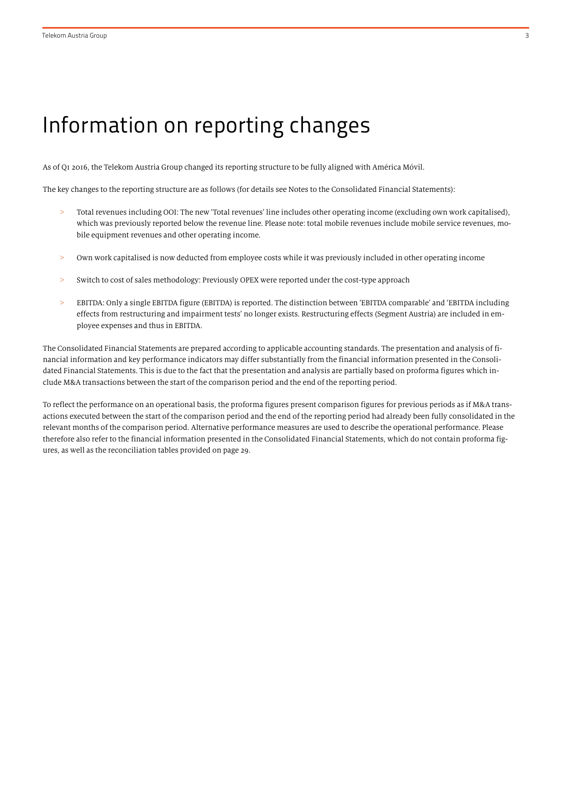## Information on reporting changes

As of Q1 2016, the Telekom Austria Group changed its reporting structure to be fully aligned with América Móvil.

The key changes to the reporting structure are as follows (for details see Notes to the Consolidated Financial Statements):

- > Total revenues including OOI: The new 'Total revenues' line includes other operating income (excluding own work capitalised), which was previously reported below the revenue line. Please note: total mobile revenues include mobile service revenues, mobile equipment revenues and other operating income.
- > Own work capitalised is now deducted from employee costs while it was previously included in other operating income
- Switch to cost of sales methodology: Previously OPEX were reported under the cost-type approach
- > EBITDA: Only a single EBITDA figure (EBITDA) is reported. The distinction between 'EBITDA comparable' and 'EBITDA including effects from restructuring and impairment tests' no longer exists. Restructuring effects (Segment Austria) are included in employee expenses and thus in EBITDA.

The Consolidated Financial Statements are prepared according to applicable accounting standards. The presentation and analysis of financial information and key performance indicators may differ substantially from the financial information presented in the Consolidated Financial Statements. This is due to the fact that the presentation and analysis are partially based on proforma figures which include M&A transactions between the start of the comparison period and the end of the reporting period.

To reflect the performance on an operational basis, the proforma figures present comparison figures for previous periods as if M&A transactions executed between the start of the comparison period and the end of the reporting period had already been fully consolidated in the relevant months of the comparison period. Alternative performance measures are used to describe the operational performance. Please therefore also refer to the financial information presented in the Consolidated Financial Statements, which do not contain proforma figures, as well as the reconciliation tables provided on page 29.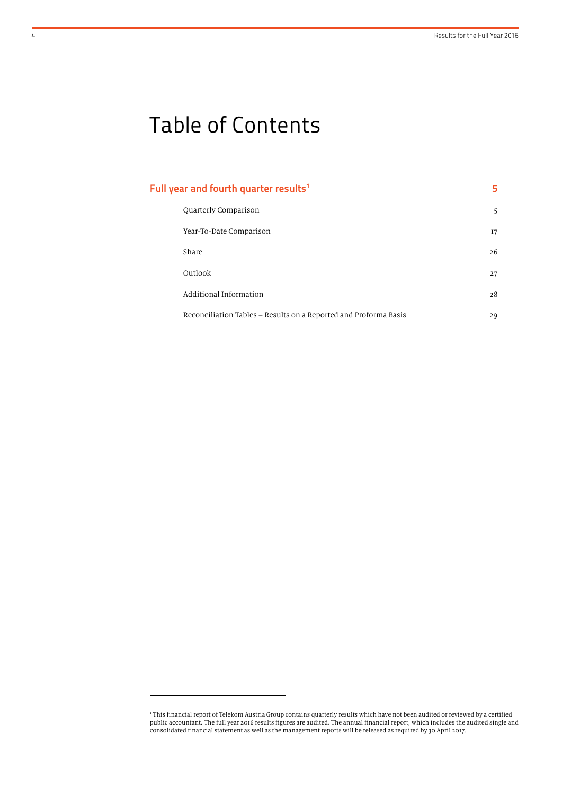# Table of Contents

| Full year and fourth quarter results <sup>1</sup>                | 5. |
|------------------------------------------------------------------|----|
| Quarterly Comparison                                             | 5  |
| Year-To-Date Comparison                                          | 17 |
| Share                                                            | 26 |
| Outlook                                                          | 27 |
| Additional Information                                           | 28 |
| Reconciliation Tables – Results on a Reported and Proforma Basis | 29 |

1

<sup>1</sup> This financial report of Telekom Austria Group contains quarterly results which have not been audited or reviewed by a certified public accountant. The full year 2016 results figures are audited. The annual financial report, which includes the audited single and consolidated financial statement as well as the management reports will be released as required by 30 April 2017.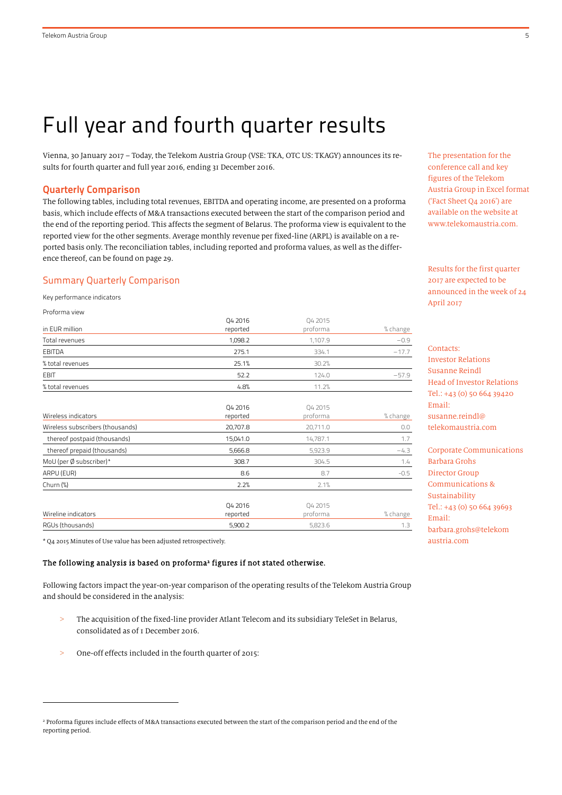## Full year and fourth quarter results

Vienna, 30 January 2017 – Today, the Telekom Austria Group (VSE: TKA, OTC US: TKAGY) announces its results for fourth quarter and full year 2016, ending 31 December 2016.

#### Quarterly Comparison

The following tables, including total revenues, EBITDA and operating income, are presented on a proforma basis, which include effects of M&A transactions executed between the start of the comparison period and the end of the reporting period. This affects the segment of Belarus. The proforma view is equivalent to the reported view for the other segments. Average monthly revenue per fixed-line (ARPL) is available on a reported basis only. The reconciliation tables, including reported and proforma values, as well as the difference thereof, can be found on page 29.

#### Summary Quarterly Comparison

Key performance indicators

1

| Proforma view                    |          |          |          |
|----------------------------------|----------|----------|----------|
|                                  | Q4 2016  | Q4 2015  |          |
| in EUR million                   | reported | proforma | % change |
| Total revenues                   | 1,098.2  | 1,107.9  | $-0.9$   |
| <b>EBITDA</b>                    | 275.1    | 334.1    | $-17.7$  |
| % total revenues                 | 25.1%    | 30.2%    |          |
| <b>EBIT</b>                      | 52.2     | 124.0    | $-57.9$  |
| % total revenues                 | 4.8%     | 11.2%    |          |
|                                  |          |          |          |
|                                  | Q4 2016  | 04 2015  |          |
| Wireless indicators              | reported | proforma | % change |
| Wireless subscribers (thousands) | 20,707.8 | 20,711.0 | 0.0      |
| thereof postpaid (thousands)     | 15,041.0 | 14,787.1 | 1.7      |
| thereof prepaid (thousands)      | 5,666.8  | 5,923.9  | $-4.3$   |
| MoU (per Ø subscriber)*          | 308.7    | 304.5    | 1.4      |
| ARPU (EUR)                       | 8.6      | 8.7      | $-0.5$   |
| Churn $(\%)$                     | 2.2%     | 2.1%     |          |
|                                  | Q4 2016  | Q4 2015  |          |
| Wireline indicators              | reported | proforma | % change |
| RGUs (thousands)                 | 5,900.2  | 5,823.6  | 1.3      |

\* Q4 2015 Minutes of Use value has been adjusted retrospectively.

## The following analysis is based on proforma<sup>2</sup> figures if not stated otherwise.

Following factors impact the year-on-year comparison of the operating results of the Telekom Austria Group and should be considered in the analysis:

- > The acquisition of the fixed-line provider Atlant Telecom and its subsidiary TeleSet in Belarus, consolidated as of 1 December 2016.
- > One-off effects included in the fourth quarter of 2015:

The presentation for the conference call and key figures of the Telekom Austria Group in Excel format ('Fact Sheet Q4 2016') are available on the website at www.telekomaustria.com.

Results for the first quarter 2017 are expected to be announced in the week of 24 April 2017

## Contacts: Investor Relations Susanne Reindl Head of Investor Relations Tel.: +43 (0) 50 664 39420 Email: susanne.reindl@ telekomaustria.com

Corporate Communications Barbara Grohs Director Group Communications & Sustainability Tel.: +43 (0) 50 664 39693 Email: barbara.grohs@telekom austria.com

<sup>&</sup>lt;sup>2</sup> Proforma figures include effects of M&A transactions executed between the start of the comparison period and the end of the reporting period.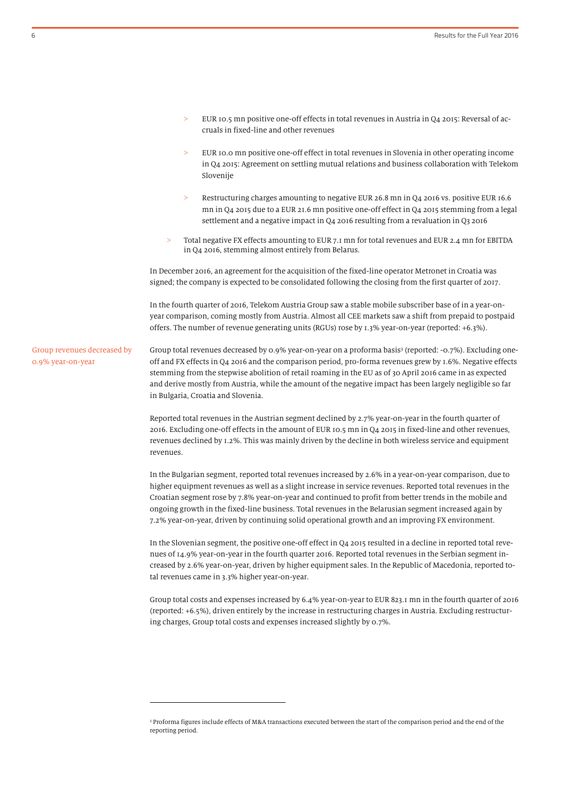- EUR 10.5 mn positive one-off effects in total revenues in Austria in Q4 2015: Reversal of accruals in fixed-line and other revenues
- EUR 10.0 mn positive one-off effect in total revenues in Slovenia in other operating income in Q4 2015: Agreement on settling mutual relations and business collaboration with Telekom Slovenije
- > Restructuring charges amounting to negative EUR 26.8 mn in Q4 2016 vs. positive EUR 16.6 mn in Q4 2015 due to a EUR 21.6 mn positive one-off effect in Q4 2015 stemming from a legal settlement and a negative impact in Q4 2016 resulting from a revaluation in Q3 2016
- > Total negative FX effects amounting to EUR 7.1 mn for total revenues and EUR 2.4 mn for EBITDA in Q4 2016, stemming almost entirely from Belarus.

In December 2016, an agreement for the acquisition of the fixed-line operator Metronet in Croatia was signed; the company is expected to be consolidated following the closing from the first quarter of 2017.

In the fourth quarter of 2016, Telekom Austria Group saw a stable mobile subscriber base of in a year-onyear comparison, coming mostly from Austria. Almost all CEE markets saw a shift from prepaid to postpaid offers. The number of revenue generating units (RGUs) rose by 1.3% year-on-year (reported: +6.3%).

Group total revenues decreased by 0.9% year-on-year on a proforma basis<sup>3</sup> (reported: -0.7%). Excluding oneoff and FX effects in Q4 2016 and the comparison period, pro-forma revenues grew by 1.6%. Negative effects stemming from the stepwise abolition of retail roaming in the EU as of 30 April 2016 came in as expected and derive mostly from Austria, while the amount of the negative impact has been largely negligible so far in Bulgaria, Croatia and Slovenia. Group revenues decreased by 0.9% year-on-year

> Reported total revenues in the Austrian segment declined by 2.7% year-on-year in the fourth quarter of 2016. Excluding one-off effects in the amount of EUR 10.5 mn in Q4 2015 in fixed-line and other revenues, revenues declined by 1.2%. This was mainly driven by the decline in both wireless service and equipment revenues.

> In the Bulgarian segment, reported total revenues increased by 2.6% in a year-on-year comparison, due to higher equipment revenues as well as a slight increase in service revenues. Reported total revenues in the Croatian segment rose by 7.8% year-on-year and continued to profit from better trends in the mobile and ongoing growth in the fixed-line business. Total revenues in the Belarusian segment increased again by 7.2% year-on-year, driven by continuing solid operational growth and an improving FX environment.

In the Slovenian segment, the positive one-off effect in Q4 2015 resulted in a decline in reported total revenues of 14.9% year-on-year in the fourth quarter 2016. Reported total revenues in the Serbian segment increased by 2.6% year-on-year, driven by higher equipment sales. In the Republic of Macedonia, reported total revenues came in 3.3% higher year-on-year.

Group total costs and expenses increased by 6.4% year-on-year to EUR 823.1 mn in the fourth quarter of 2016 (reported: +6.5%), driven entirely by the increase in restructuring charges in Austria. Excluding restructuring charges, Group total costs and expenses increased slightly by 0.7%.

 $\overline{a}$ 

<sup>3</sup> Proforma figures include effects of M&A transactions executed between the start of the comparison period and the end of the reporting period.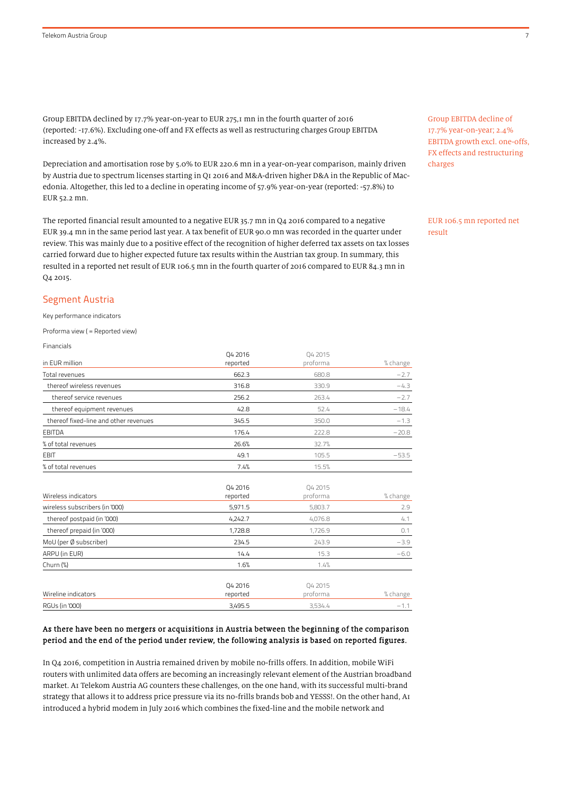Group EBITDA declined by 17.7% year-on-year to EUR 275,1 mn in the fourth quarter of 2016 (reported: -17.6%). Excluding one-off and FX effects as well as restructuring charges Group EBITDA increased by 2.4%.

Depreciation and amortisation rose by 5.0% to EUR 220.6 mn in a year-on-year comparison, mainly driven by Austria due to spectrum licenses starting in Q1 2016 and M&A-driven higher D&A in the Republic of Macedonia. Altogether, this led to a decline in operating income of 57.9% year-on-year (reported: -57.8%) to EUR 52.2 mn.

The reported financial result amounted to a negative EUR 35.7 mn in Q4 2016 compared to a negative EUR 39.4 mn in the same period last year. A tax benefit of EUR 90.0 mn was recorded in the quarter under review. This was mainly due to a positive effect of the recognition of higher deferred tax assets on tax losses carried forward due to higher expected future tax results within the Austrian tax group. In summary, this resulted in a reported net result of EUR 106.5 mn in the fourth quarter of 2016 compared to EUR 84.3 mn in Q4 2015.

Group EBITDA decline of 17.7% year-on-year; 2.4% EBITDA growth excl. one-offs, FX effects and restructuring charges

EUR 106.5 mn reported net result

#### Segment Austria

Key performance indicators

Proforma view ( = Reported view)

Financials

|                                       | 04 2016  | 04 2015  |          |
|---------------------------------------|----------|----------|----------|
| in EUR million                        | reported | proforma | % change |
| Total revenues                        | 662.3    | 680.8    | $-2.7$   |
| thereof wireless revenues             | 316.8    | 330.9    | $-4.3$   |
| thereof service revenues              | 256.2    | 263.4    | $-2.7$   |
| thereof equipment revenues            | 42.8     | 52.4     | $-18.4$  |
| thereof fixed-line and other revenues | 345.5    | 350.0    | $-1.3$   |
| <b>EBITDA</b>                         | 176.4    | 222.8    | $-20.8$  |
| % of total revenues                   | 26.6%    | 32.7%    |          |
| <b>EBIT</b>                           | 49.1     | 105.5    | $-53.5$  |
| % of total revenues                   | 7.4%     | 15.5%    |          |
|                                       | Q4 2016  | Q4 2015  |          |
| Wireless indicators                   | reported | proforma | % change |
| wireless subscribers (in '000)        | 5,971.5  | 5,803.7  | 2.9      |
| thereof postpaid (in '000)            | 4,242.7  | 4,076.8  | 4.1      |
| thereof prepaid (in '000)             | 1,728.8  | 1,726.9  | 0.1      |
| MoU (per Ø subscriber)                | 234.5    | 243.9    | $-3.9$   |
| ARPU (in EUR)                         | 14.4     | 15.3     | $-6.0$   |
| Churn $(\%)$                          | 1.6%     | 1.4%     |          |
|                                       | Q4 2016  | Q4 2015  |          |
| Wireline indicators                   | reported | proforma | % change |
| <b>RGUs (in '000)</b>                 | 3,495.5  | 3,534.4  | $-1.1$   |

#### As there have been no mergers or acquisitions in Austria between the beginning of the comparison period and the end of the period under review, the following analysis is based on reported figures.

In Q4 2016, competition in Austria remained driven by mobile no-frills offers. In addition, mobile WiFi routers with unlimited data offers are becoming an increasingly relevant element of the Austrian broadband market. A1 Telekom Austria AG counters these challenges, on the one hand, with its successful multi-brand strategy that allows it to address price pressure via its no-frills brands bob and YESSS!. On the other hand, A1 introduced a hybrid modem in July 2016 which combines the fixed-line and the mobile network and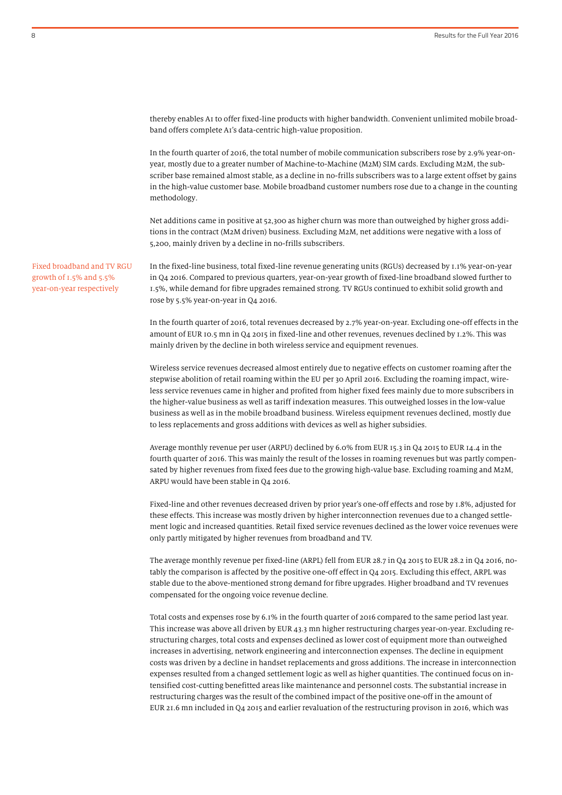thereby enables A1 to offer fixed-line products with higher bandwidth. Convenient unlimited mobile broadband offers complete A1's data-centric high-value proposition.

In the fourth quarter of 2016, the total number of mobile communication subscribers rose by 2.9% year-onyear, mostly due to a greater number of Machine-to-Machine (M2M) SIM cards. Excluding M2M, the subscriber base remained almost stable, as a decline in no-frills subscribers was to a large extent offset by gains in the high-value customer base. Mobile broadband customer numbers rose due to a change in the counting methodology.

Net additions came in positive at 52,300 as higher churn was more than outweighed by higher gross additions in the contract (M2M driven) business. Excluding M2M, net additions were negative with a loss of 5,200, mainly driven by a decline in no-frills subscribers.

In the fixed-line business, total fixed-line revenue generating units (RGUs) decreased by 1.1% year-on-year in Q4 2016. Compared to previous quarters, year-on-year growth of fixed-line broadband slowed further to 1.5%, while demand for fibre upgrades remained strong. TV RGUs continued to exhibit solid growth and rose by 5.5% year-on-year in Q4 2016.

In the fourth quarter of 2016, total revenues decreased by 2.7% year-on-year. Excluding one-off effects in the amount of EUR 10.5 mn in Q4 2015 in fixed-line and other revenues, revenues declined by 1.2%. This was mainly driven by the decline in both wireless service and equipment revenues.

Wireless service revenues decreased almost entirely due to negative effects on customer roaming after the stepwise abolition of retail roaming within the EU per 30 April 2016. Excluding the roaming impact, wireless service revenues came in higher and profited from higher fixed fees mainly due to more subscribers in the higher-value business as well as tariff indexation measures. This outweighed losses in the low-value business as well as in the mobile broadband business. Wireless equipment revenues declined, mostly due to less replacements and gross additions with devices as well as higher subsidies.

Average monthly revenue per user (ARPU) declined by 6.0% from EUR 15.3 in Q4 2015 to EUR 14.4 in the fourth quarter of 2016. This was mainly the result of the losses in roaming revenues but was partly compensated by higher revenues from fixed fees due to the growing high-value base. Excluding roaming and M2M, ARPU would have been stable in Q4 2016.

Fixed-line and other revenues decreased driven by prior year's one-off effects and rose by 1.8%, adjusted for these effects. This increase was mostly driven by higher interconnection revenues due to a changed settlement logic and increased quantities. Retail fixed service revenues declined as the lower voice revenues were only partly mitigated by higher revenues from broadband and TV.

The average monthly revenue per fixed-line (ARPL) fell from EUR 28.7 in Q4 2015 to EUR 28.2 in Q4 2016, notably the comparison is affected by the positive one-off effect in Q4 2015. Excluding this effect, ARPL was stable due to the above-mentioned strong demand for fibre upgrades. Higher broadband and TV revenues compensated for the ongoing voice revenue decline.

Total costs and expenses rose by 6.1% in the fourth quarter of 2016 compared to the same period last year. This increase was above all driven by EUR 43.3 mn higher restructuring charges year-on-year. Excluding restructuring charges, total costs and expenses declined as lower cost of equipment more than outweighed increases in advertising, network engineering and interconnection expenses. The decline in equipment costs was driven by a decline in handset replacements and gross additions. The increase in interconnection expenses resulted from a changed settlement logic as well as higher quantities. The continued focus on intensified cost-cutting benefitted areas like maintenance and personnel costs. The substantial increase in restructuring charges was the result of the combined impact of the positive one-off in the amount of EUR 21.6 mn included in Q4 2015 and earlier revaluation of the restructuring provison in 2016, which was

Fixed broadband and TV RGU growth of 1.5% and 5.5% year-on-year respectively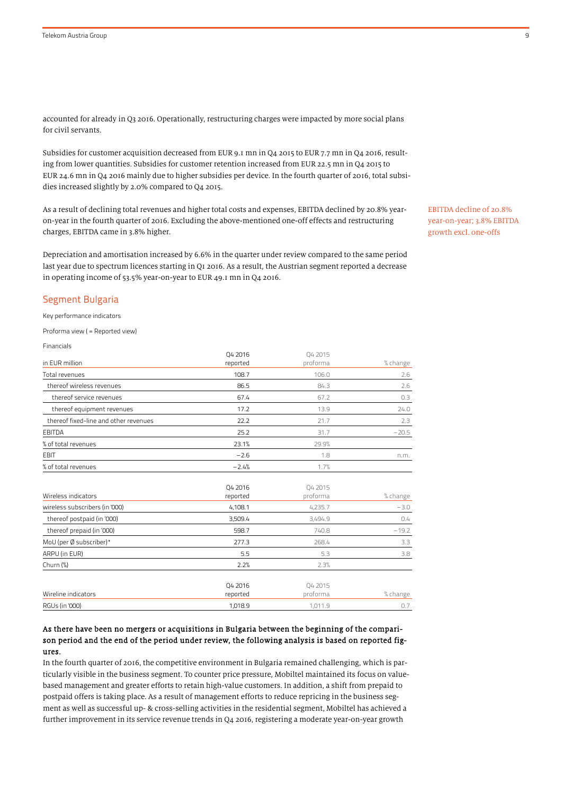accounted for already in Q3 2016. Operationally, restructuring charges were impacted by more social plans for civil servants.

Subsidies for customer acquisition decreased from EUR 9.1 mn in Q4 2015 to EUR 7.7 mn in Q4 2016, resulting from lower quantities. Subsidies for customer retention increased from EUR 22.5 mn in Q4 2015 to EUR 24.6 mn in Q4 2016 mainly due to higher subsidies per device. In the fourth quarter of 2016, total subsidies increased slightly by 2.0% compared to Q4 2015.

As a result of declining total revenues and higher total costs and expenses, EBITDA declined by 20.8% yearon-year in the fourth quarter of 2016. Excluding the above-mentioned one-off effects and restructuring charges, EBITDA came in 3.8% higher.

Depreciation and amortisation increased by 6.6% in the quarter under review compared to the same period last year due to spectrum licences starting in Q1 2016. As a result, the Austrian segment reported a decrease in operating income of 53.5% year-on-year to EUR 49.1 mn in Q4 2016.

#### Segment Bulgaria

Key performance indicators

Proforma view ( = Reported view)

Financials

| in EUR million                        | Q4 2016<br>reported | 04 2015<br>proforma | % change           |
|---------------------------------------|---------------------|---------------------|--------------------|
| Total revenues                        | 108.7               | 106.0               | 2.6                |
| thereof wireless revenues             | 86.5                | 84.3                | 2.6                |
| thereof service revenues              | 67.4                | 67.2                | 0.3                |
| thereof equipment revenues            | 17.2                | 13.9                | 24.0               |
| thereof fixed-line and other revenues | 22.2                | 21.7                | 2.3                |
| <b>EBITDA</b>                         | 25.2                | 31.7                | $-20.5$            |
| % of total revenues                   | 23.1%               | 29.9%               |                    |
| <b>EBIT</b>                           | $-2.6$              | 1.8                 | n.m.               |
| % of total revenues                   | $-2.4%$             | 1.7%                |                    |
| Wireless indicators                   | Q4 2016             | Q4 2015<br>proforma |                    |
| wireless subscribers (in '000)        | reported<br>4,108.1 | 4,235.7             | % change<br>$-3.0$ |
| thereof postpaid (in '000)            | 3,509.4             | 3,494.9             | 0.4                |
| thereof prepaid (in '000)             | 598.7               | 740.8               | $-19.2$            |
| MoU (per Ø subscriber)*               | 277.3               | 268.4               | 3.3                |
| ARPU (in EUR)                         | 5.5                 | 5.3                 | 3.8                |
| Churn $(\%)$                          | 2.2%                | 2.3%                |                    |
| Wireline indicators                   | Q4 2016<br>reported | Q4 2015<br>proforma | % change           |
| RGUs (in '000)                        | 1,018.9             | 1,011.9             | 0.7                |

## As there have been no mergers or acquisitions in Bulgaria between the beginning of the comparison period and the end of the period under review, the following analysis is based on reported figures.

In the fourth quarter of 2016, the competitive environment in Bulgaria remained challenging, which is particularly visible in the business segment. To counter price pressure, Mobiltel maintained its focus on valuebased management and greater efforts to retain high-value customers. In addition, a shift from prepaid to postpaid offers is taking place. As a result of management efforts to reduce repricing in the business segment as well as successful up- & cross-selling activities in the residential segment, Mobiltel has achieved a further improvement in its service revenue trends in Q4 2016, registering a moderate year-on-year growth

EBITDA decline of 20.8% year-on-year; 3.8% EBITDA growth excl. one-offs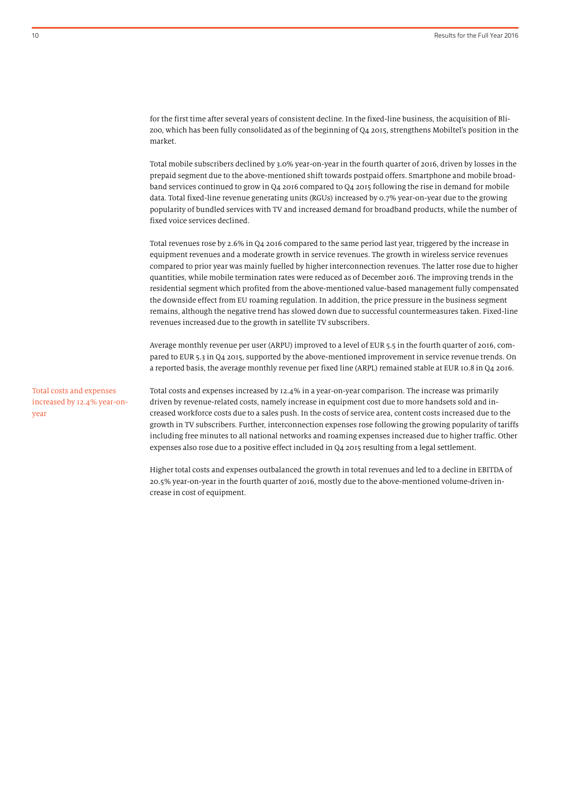for the first time after several years of consistent decline. In the fixed-line business, the acquisition of Blizoo, which has been fully consolidated as of the beginning of Q4 2015, strengthens Mobiltel's position in the market.

Total mobile subscribers declined by 3.0% year-on-year in the fourth quarter of 2016, driven by losses in the prepaid segment due to the above-mentioned shift towards postpaid offers. Smartphone and mobile broadband services continued to grow in Q4 2016 compared to Q4 2015 following the rise in demand for mobile data. Total fixed-line revenue generating units (RGUs) increased by 0.7% year-on-year due to the growing popularity of bundled services with TV and increased demand for broadband products, while the number of fixed voice services declined.

Total revenues rose by 2.6% in Q4 2016 compared to the same period last year, triggered by the increase in equipment revenues and a moderate growth in service revenues. The growth in wireless service revenues compared to prior year was mainly fuelled by higher interconnection revenues. The latter rose due to higher quantities, while mobile termination rates were reduced as of December 2016. The improving trends in the residential segment which profited from the above-mentioned value-based management fully compensated the downside effect from EU roaming regulation. In addition, the price pressure in the business segment remains, although the negative trend has slowed down due to successful countermeasures taken. Fixed-line revenues increased due to the growth in satellite TV subscribers.

Average monthly revenue per user (ARPU) improved to a level of EUR 5.5 in the fourth quarter of 2016, compared to EUR 5.3 in Q4 2015, supported by the above-mentioned improvement in service revenue trends. On a reported basis, the average monthly revenue per fixed line (ARPL) remained stable at EUR 10.8 in Q4 2016.

Total costs and expenses increased by 12.4% year-onyear

Total costs and expenses increased by 12.4% in a year-on-year comparison. The increase was primarily driven by revenue-related costs, namely increase in equipment cost due to more handsets sold and increased workforce costs due to a sales push. In the costs of service area, content costs increased due to the growth in TV subscribers. Further, interconnection expenses rose following the growing popularity of tariffs including free minutes to all national networks and roaming expenses increased due to higher traffic. Other expenses also rose due to a positive effect included in Q4 2015 resulting from a legal settlement.

Higher total costs and expenses outbalanced the growth in total revenues and led to a decline in EBITDA of 20.5% year-on-year in the fourth quarter of 2016, mostly due to the above-mentioned volume-driven increase in cost of equipment.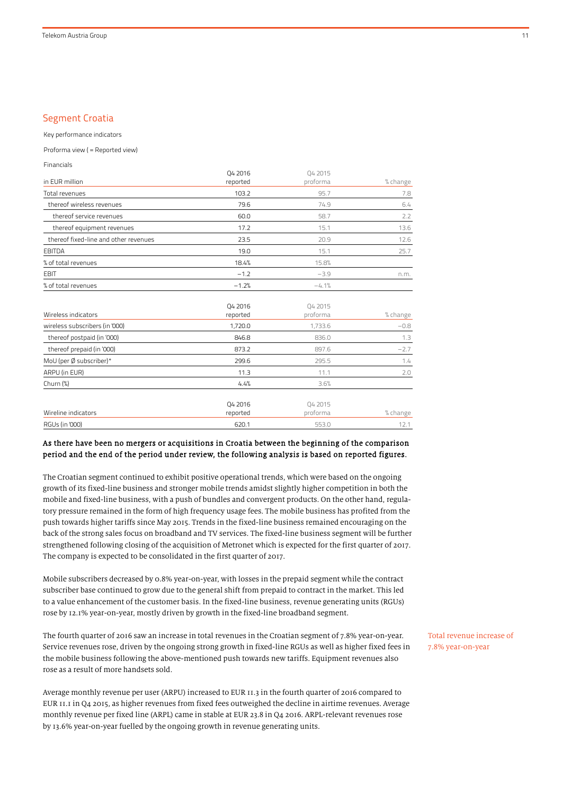## Segment Croatia

Key performance indicators

Proforma view ( = Reported view)

| 04 2015  |                                                                         |
|----------|-------------------------------------------------------------------------|
| proforma | % change                                                                |
| 95.7     | 7.8                                                                     |
| 74.9     | 6.4                                                                     |
| 58.7     | 2.2                                                                     |
| 15.1     | 13.6                                                                    |
| 20.9     | 12.6                                                                    |
| 15.1     | 25.7                                                                    |
| 15.8%    |                                                                         |
| $-3.9$   | n.m.                                                                    |
| $-4.1%$  |                                                                         |
|          |                                                                         |
|          | % change                                                                |
|          | $-0.8$                                                                  |
|          | 1.3                                                                     |
| 897.6    | $-2.7$                                                                  |
| 295.5    | 1.4                                                                     |
| 11.1     | 2.0                                                                     |
| 3.6%     |                                                                         |
|          |                                                                         |
|          | % change                                                                |
|          | 12.1                                                                    |
|          | 04 2015<br>proforma<br>1,733.6<br>836.0<br>Q4 2015<br>proforma<br>553.0 |

## As there have been no mergers or acquisitions in Croatia between the beginning of the comparison period and the end of the period under review, the following analysis is based on reported figures.

The Croatian segment continued to exhibit positive operational trends, which were based on the ongoing growth of its fixed-line business and stronger mobile trends amidst slightly higher competition in both the mobile and fixed-line business, with a push of bundles and convergent products. On the other hand, regulatory pressure remained in the form of high frequency usage fees. The mobile business has profited from the push towards higher tariffs since May 2015. Trends in the fixed-line business remained encouraging on the back of the strong sales focus on broadband and TV services. The fixed-line business segment will be further strengthened following closing of the acquisition of Metronet which is expected for the first quarter of 2017. The company is expected to be consolidated in the first quarter of 2017.

Mobile subscribers decreased by 0.8% year-on-year, with losses in the prepaid segment while the contract subscriber base continued to grow due to the general shift from prepaid to contract in the market. This led to a value enhancement of the customer basis. In the fixed-line business, revenue generating units (RGUs) rose by 12.1% year-on-year, mostly driven by growth in the fixed-line broadband segment.

The fourth quarter of 2016 saw an increase in total revenues in the Croatian segment of 7.8% year-on-year. Service revenues rose, driven by the ongoing strong growth in fixed-line RGUs as well as higher fixed fees in the mobile business following the above-mentioned push towards new tariffs. Equipment revenues also rose as a result of more handsets sold.

Average monthly revenue per user (ARPU) increased to EUR 11.3 in the fourth quarter of 2016 compared to EUR 11.1 in Q4 2015, as higher revenues from fixed fees outweighed the decline in airtime revenues. Average monthly revenue per fixed line (ARPL) came in stable at EUR 23.8 in Q4 2016. ARPL-relevant revenues rose by 13.6% year-on-year fuelled by the ongoing growth in revenue generating units.

Total revenue increase of 7.8% year-on-year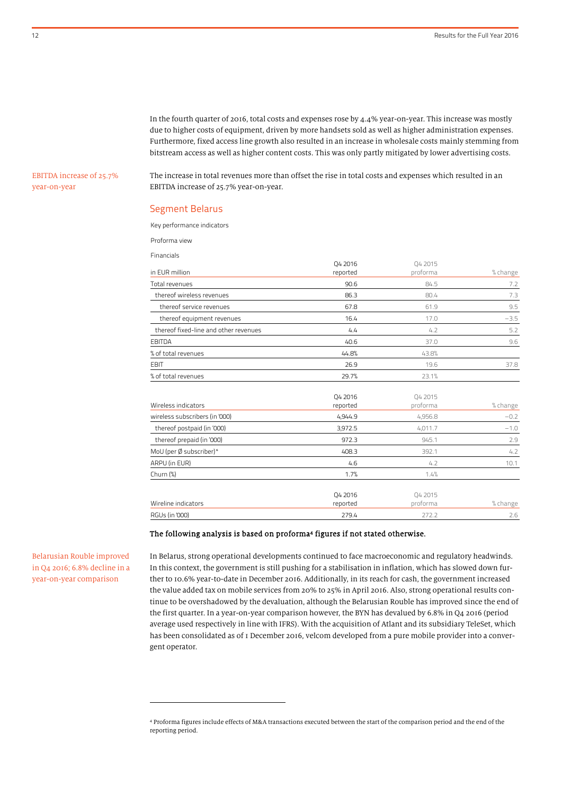In the fourth quarter of 2016, total costs and expenses rose by 4.4% year-on-year. This increase was mostly due to higher costs of equipment, driven by more handsets sold as well as higher administration expenses. Furthermore, fixed access line growth also resulted in an increase in wholesale costs mainly stemming from bitstream access as well as higher content costs. This was only partly mitigated by lower advertising costs.

EBITDA increase of 25.7% year-on-year

The increase in total revenues more than offset the rise in total costs and expenses which resulted in an EBITDA increase of 25.7% year-on-year.

#### Segment Belarus

Key performance indicators

Proforma view

Financials

| FilidriCidis                          |          |          |          |
|---------------------------------------|----------|----------|----------|
|                                       | 04 2016  | 04 2015  |          |
| in EUR million                        | reported | proforma | % change |
| Total revenues                        | 90.6     | 84.5     | 7.2      |
| thereof wireless revenues             | 86.3     | 80.4     | 7.3      |
| thereof service revenues              | 67.8     | 61.9     | 9.5      |
| thereof equipment revenues            | 16.4     | 17.0     | $-3.5$   |
| thereof fixed-line and other revenues | 4.4      | 4.2      | 5.2      |
| <b>EBITDA</b>                         | 40.6     | 37.0     | 9.6      |
| % of total revenues                   | 44.8%    | 43.8%    |          |
| <b>EBIT</b>                           | 26.9     | 19.6     | 37.8     |
| % of total revenues                   | 29.7%    | 23.1%    |          |
|                                       | 04 2016  | 04 2015  |          |
| Wireless indicators                   | reported | proforma | % change |
| wireless subscribers (in '000)        | 4,944.9  | 4,956.8  | $-0.2$   |
| thereof postpaid (in '000)            | 3,972.5  | 4,011.7  | $-1.0$   |
| thereof prepaid (in '000)             | 972.3    | 945.1    | 2.9      |
| MoU (per Ø subscriber)*               | 408.3    | 392.1    | 4.2      |
| ARPU (in EUR)                         | 4.6      | 4.2      | 10.1     |
| Churn $(\%)$                          | 1.7%     | 1.4%     |          |
|                                       | Q4 2016  | Q4 2015  |          |
| Wireline indicators                   | reported | proforma | % change |
| <b>RGUs (in '000)</b>                 | 279.4    | 272.2    | 2.6      |

#### The following analysis is based on proforma<sup>4</sup> figures if not stated otherwise.

Belarusian Rouble improved in Q4 2016; 6.8% decline in a year-on-year comparison

 $\overline{a}$ 

In Belarus, strong operational developments continued to face macroeconomic and regulatory headwinds. In this context, the government is still pushing for a stabilisation in inflation, which has slowed down further to 10.6% year-to-date in December 2016. Additionally, in its reach for cash, the government increased the value added tax on mobile services from 20% to 25% in April 2016. Also, strong operational results continue to be overshadowed by the devaluation, although the Belarusian Rouble has improved since the end of the first quarter. In a year-on-year comparison however, the BYN has devalued by 6.8% in Q4 2016 (period average used respectively in line with IFRS). With the acquisition of Atlant and its subsidiary TeleSet, which has been consolidated as of 1 December 2016, velcom developed from a pure mobile provider into a convergent operator.

<sup>4</sup> Proforma figures include effects of M&A transactions executed between the start of the comparison period and the end of the reporting period.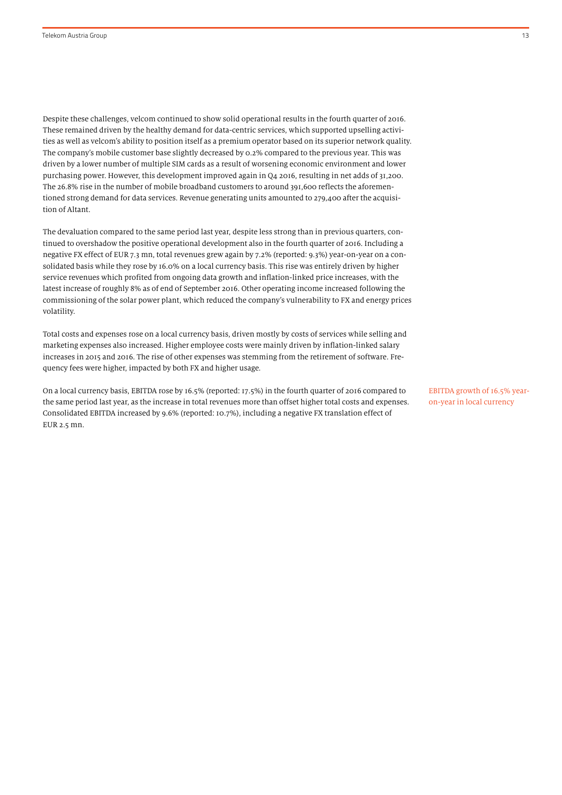Despite these challenges, velcom continued to show solid operational results in the fourth quarter of 2016. These remained driven by the healthy demand for data-centric services, which supported upselling activities as well as velcom's ability to position itself as a premium operator based on its superior network quality. The company's mobile customer base slightly decreased by 0.2% compared to the previous year. This was driven by a lower number of multiple SIM cards as a result of worsening economic environment and lower purchasing power. However, this development improved again in Q4 2016, resulting in net adds of 31,200. The 26.8% rise in the number of mobile broadband customers to around 391,600 reflects the aforementioned strong demand for data services. Revenue generating units amounted to 279,400 after the acquisition of Altant.

The devaluation compared to the same period last year, despite less strong than in previous quarters, continued to overshadow the positive operational development also in the fourth quarter of 2016. Including a negative FX effect of EUR 7.3 mn, total revenues grew again by 7.2% (reported: 9.3%) year-on-year on a consolidated basis while they rose by 16.0% on a local currency basis. This rise was entirely driven by higher service revenues which profited from ongoing data growth and inflation-linked price increases, with the latest increase of roughly 8% as of end of September 2016. Other operating income increased following the commissioning of the solar power plant, which reduced the company's vulnerability to FX and energy prices volatility.

Total costs and expenses rose on a local currency basis, driven mostly by costs of services while selling and marketing expenses also increased. Higher employee costs were mainly driven by inflation-linked salary increases in 2015 and 2016. The rise of other expenses was stemming from the retirement of software. Frequency fees were higher, impacted by both FX and higher usage.

On a local currency basis, EBITDA rose by 16.5% (reported: 17.5%) in the fourth quarter of 2016 compared to the same period last year, as the increase in total revenues more than offset higher total costs and expenses. Consolidated EBITDA increased by 9.6% (reported: 10.7%), including a negative FX translation effect of EUR 2.5 mn.

EBITDA growth of 16.5% yearon-year in local currency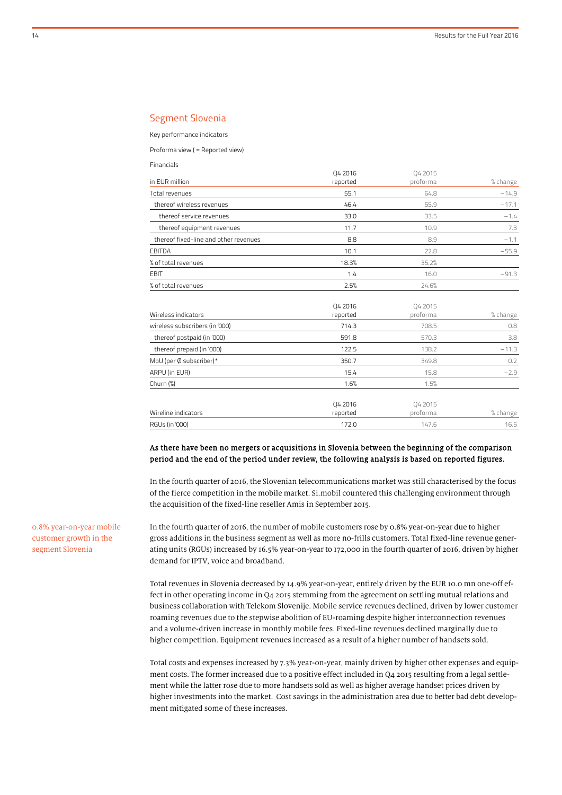## Segment Slovenia

Key performance indicators

Financials

Proforma view ( = Reported view)

| i ilialitiais                         |          |          |          |
|---------------------------------------|----------|----------|----------|
|                                       | 04 2016  | 04 2015  |          |
| in EUR million                        | reported | proforma | % change |
| <b>Total revenues</b>                 | 55.1     | 64.8     | $-14.9$  |
| thereof wireless revenues             | 46.4     | 55.9     | $-17.1$  |
| thereof service revenues              | 33.0     | 33.5     | $-1.4$   |
| thereof equipment revenues            | 11.7     | 10.9     | 7.3      |
| thereof fixed-line and other revenues | 8.8      | 8.9      | $-1.1$   |
| <b>EBITDA</b>                         | 10.1     | 22.8     | $-55.9$  |
| % of total revenues                   | 18.3%    | 35.2%    |          |
| <b>EBIT</b>                           | 1.4      | 16.0     | $-91.3$  |
| % of total revenues                   | 2.5%     | 24.6%    |          |
|                                       |          |          |          |
|                                       | Q4 2016  | Q4 2015  |          |
| Wireless indicators                   | reported | proforma | % change |
| wireless subscribers (in '000)        | 714.3    | 708.5    | 0.8      |
| thereof postpaid (in '000)            | 591.8    | 570.3    | 3.8      |
| thereof prepaid (in '000)             | 122.5    | 138.2    | $-11.3$  |
| MoU (per Ø subscriber)*               | 350.7    | 349.8    | 0.2      |
| ARPU (in EUR)                         | 15.4     | 15.8     | $-2.9$   |
| Churn (%)                             | 1.6%     | 1.5%     |          |
|                                       |          |          |          |
|                                       | Q4 2016  | Q4 2015  |          |
| Wireline indicators                   | reported | proforma | % change |
| <b>RGUs (in '000)</b>                 | 172.0    | 147.6    | 16.5     |
|                                       |          |          |          |

#### As there have been no mergers or acquisitions in Slovenia between the beginning of the comparison period and the end of the period under review, the following analysis is based on reported figures.

In the fourth quarter of 2016, the Slovenian telecommunications market was still characterised by the focus of the fierce competition in the mobile market. Si.mobil countered this challenging environment through the acquisition of the fixed-line reseller Amis in September 2015.

In the fourth quarter of 2016, the number of mobile customers rose by 0.8% year-on-year due to higher gross additions in the business segment as well as more no-frills customers. Total fixed-line revenue generating units (RGUs) increased by 16.5% year-on-year to 172,000 in the fourth quarter of 2016, driven by higher demand for IPTV, voice and broadband.

Total revenues in Slovenia decreased by 14.9% year-on-year, entirely driven by the EUR 10.0 mn one-off effect in other operating income in Q4 2015 stemming from the agreement on settling mutual relations and business collaboration with Telekom Slovenije. Mobile service revenues declined, driven by lower customer roaming revenues due to the stepwise abolition of EU-roaming despite higher interconnection revenues and a volume-driven increase in monthly mobile fees. Fixed-line revenues declined marginally due to higher competition. Equipment revenues increased as a result of a higher number of handsets sold.

Total costs and expenses increased by 7.3% year-on-year, mainly driven by higher other expenses and equipment costs. The former increased due to a positive effect included in Q4 2015 resulting from a legal settlement while the latter rose due to more handsets sold as well as higher average handset prices driven by higher investments into the market. Cost savings in the administration area due to better bad debt development mitigated some of these increases.

0.8% year-on-year mobile customer growth in the segment Slovenia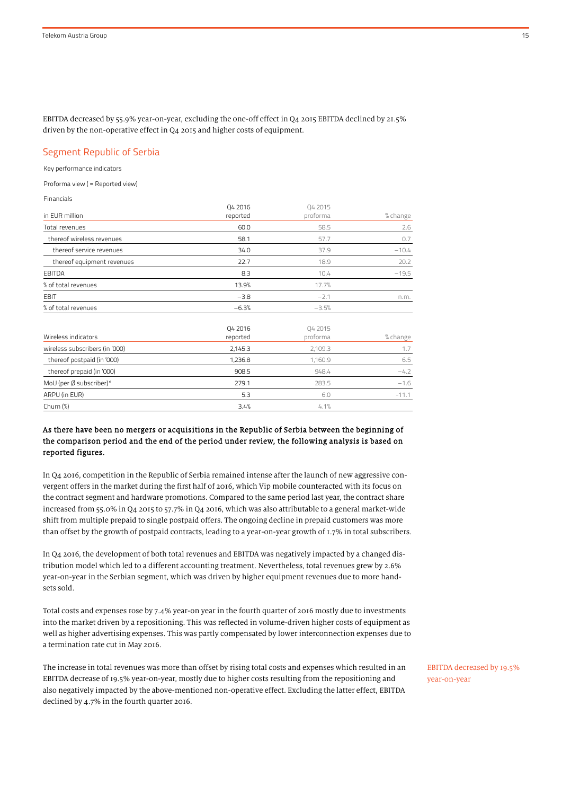EBITDA decreased by 55.9% year-on-year, excluding the one-off effect in Q4 2015 EBITDA declined by 21.5% driven by the non-operative effect in Q4 2015 and higher costs of equipment.

## Segment Republic of Serbia

Key performance indicators

Proforma view ( = Reported view)

Financials

|                                | Q4 2016             | Q4 2015             |          |
|--------------------------------|---------------------|---------------------|----------|
| in EUR million                 | reported            | proforma            | % change |
| Total revenues                 | 60.0                | 58.5                | 2.6      |
| thereof wireless revenues      | 58.1                | 57.7                | 0.7      |
| thereof service revenues       | 34.0                | 37.9                | $-10.4$  |
| thereof equipment revenues     | 22.7                | 18.9                | 20.2     |
| <b>EBITDA</b>                  | 8.3                 | 10.4                | $-19.5$  |
| % of total revenues            | 13.9%               | 17.7%               |          |
| EBIT                           | $-3.8$              | $-2.1$              | n.m.     |
| % of total revenues            | $-6.3%$             | $-3.5%$             |          |
| Wireless indicators            | Q4 2016<br>reported | Q4 2015<br>proforma | % change |
| wireless subscribers (in '000) | 2,145.3             | 2,109.3             | 1.7      |
|                                |                     |                     |          |

| Wireless Subscribers (III-OOO) | <b>40.3 ــــــــــــــــــــــــــــــــــ</b> | 2. IUY. 3 |         |
|--------------------------------|------------------------------------------------|-----------|---------|
| thereof postpaid (in '000)     | 1.236.8                                        | 1.160.9   | 6.5     |
| thereof prepaid (in '000)      | 908.5                                          | 948.4     | $-4.2$  |
| MoU (per Ø subscriber)*        | 279.1                                          | 283.5     | $-1.6$  |
| ARPU (in EUR)                  | 5.3                                            | 6.0       | $-11.1$ |
| Churn (%)                      | 3.4%                                           | 4.1%      |         |
|                                |                                                |           |         |

## As there have been no mergers or acquisitions in the Republic of Serbia between the beginning of the comparison period and the end of the period under review, the following analysis is based on reported figures.

In Q4 2016, competition in the Republic of Serbia remained intense after the launch of new aggressive convergent offers in the market during the first half of 2016, which Vip mobile counteracted with its focus on the contract segment and hardware promotions. Compared to the same period last year, the contract share increased from 55.0% in Q4 2015 to 57.7% in Q4 2016, which was also attributable to a general market-wide shift from multiple prepaid to single postpaid offers. The ongoing decline in prepaid customers was more than offset by the growth of postpaid contracts, leading to a year-on-year growth of 1.7% in total subscribers.

In Q4 2016, the development of both total revenues and EBITDA was negatively impacted by a changed distribution model which led to a different accounting treatment. Nevertheless, total revenues grew by 2.6% year-on-year in the Serbian segment, which was driven by higher equipment revenues due to more handsets sold.

Total costs and expenses rose by 7.4% year-on year in the fourth quarter of 2016 mostly due to investments into the market driven by a repositioning. This was reflected in volume-driven higher costs of equipment as well as higher advertising expenses. This was partly compensated by lower interconnection expenses due to a termination rate cut in May 2016.

The increase in total revenues was more than offset by rising total costs and expenses which resulted in an EBITDA decrease of 19.5% year-on-year, mostly due to higher costs resulting from the repositioning and also negatively impacted by the above-mentioned non-operative effect. Excluding the latter effect, EBITDA declined by 4.7% in the fourth quarter 2016.

EBITDA decreased by 19.5% year-on-year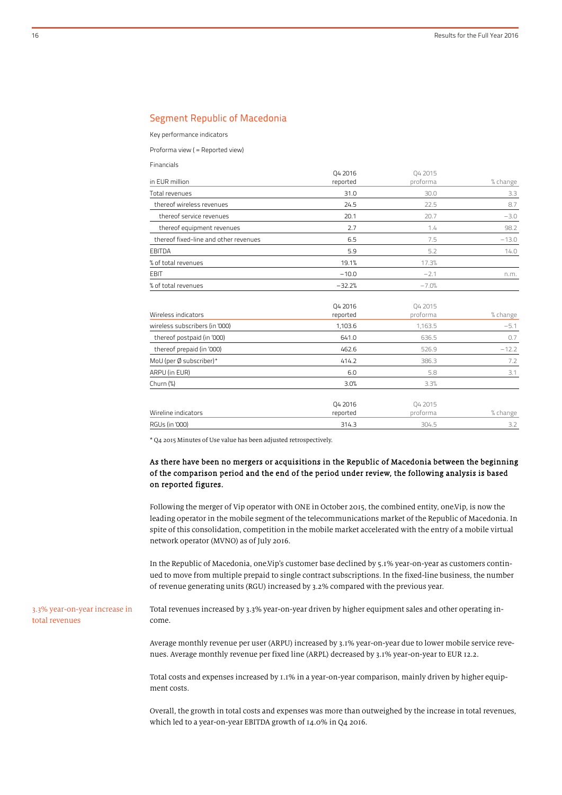## Segment Republic of Macedonia

Key performance indicators

Financials

Proforma view ( = Reported view)

|                                       | Q4 2016             | 04 2015             |          |
|---------------------------------------|---------------------|---------------------|----------|
| in EUR million                        | reported            | proforma            | % change |
| Total revenues                        | 31.0                | 30.0                | 3.3      |
| thereof wireless revenues             | 24.5                | 22.5                | 8.7      |
| thereof service revenues              | 20.1                | 20.7                | $-3.0$   |
| thereof equipment revenues            | 2.7                 | 1.4                 | 98.2     |
| thereof fixed-line and other revenues | 6.5                 | 7.5                 | $-13.0$  |
| <b>EBITDA</b>                         | 5.9                 | 5.2                 | 14.0     |
| % of total revenues                   | 19.1%               | 17.3%               |          |
| EBIT                                  | $-10.0$             | $-2.1$              | n.m.     |
| % of total revenues                   | $-32.2%$            | $-7.0%$             |          |
| Wireless indicators                   | Q4 2016<br>reported | Q4 2015<br>proforma | % change |
| wireless subscribers (in '000)        | 1,103.6             | 1,163.5             | $-5.1$   |
| thereof postpaid (in '000)            | 641.0               | 636.5               | 0.7      |
| thereof prepaid (in '000)             | 462.6               | 526.9               | $-12.2$  |
| MoU (per Ø subscriber)*               | 414.2               | 386.3               | 7.2      |
| ARPU (in EUR)                         | 6.0                 | 5.8                 | 3.1      |
| Churn (%)                             | 3.0%                | 3.3%                |          |
| Wireline indicators                   | Q4 2016<br>reported | Q4 2015<br>proforma | % change |
| RGUs (in '000)                        | 314.3               | 304.5               | 3.2      |
|                                       |                     |                     |          |

\* Q4 2015 Minutes of Use value has been adjusted retrospectively.

## As there have been no mergers or acquisitions in the Republic of Macedonia between the beginning of the comparison period and the end of the period under review, the following analysis is based on reported figures.

Following the merger of Vip operator with ONE in October 2015, the combined entity, one.Vip, is now the leading operator in the mobile segment of the telecommunications market of the Republic of Macedonia. In spite of this consolidation, competition in the mobile market accelerated with the entry of a mobile virtual network operator (MVNO) as of July 2016.

In the Republic of Macedonia, one.Vip's customer base declined by 5.1% year-on-year as customers continued to move from multiple prepaid to single contract subscriptions. In the fixed-line business, the number of revenue generating units (RGU) increased by 3.2% compared with the previous year.

3.3% year-on-year increase in total revenues

Total revenues increased by 3.3% year-on-year driven by higher equipment sales and other operating income.

Average monthly revenue per user (ARPU) increased by 3.1% year-on-year due to lower mobile service revenues. Average monthly revenue per fixed line (ARPL) decreased by 3.1% year-on-year to EUR 12.2.

Total costs and expenses increased by 1.1% in a year-on-year comparison, mainly driven by higher equipment costs.

Overall, the growth in total costs and expenses was more than outweighed by the increase in total revenues, which led to a year-on-year EBITDA growth of 14.0% in Q4 2016.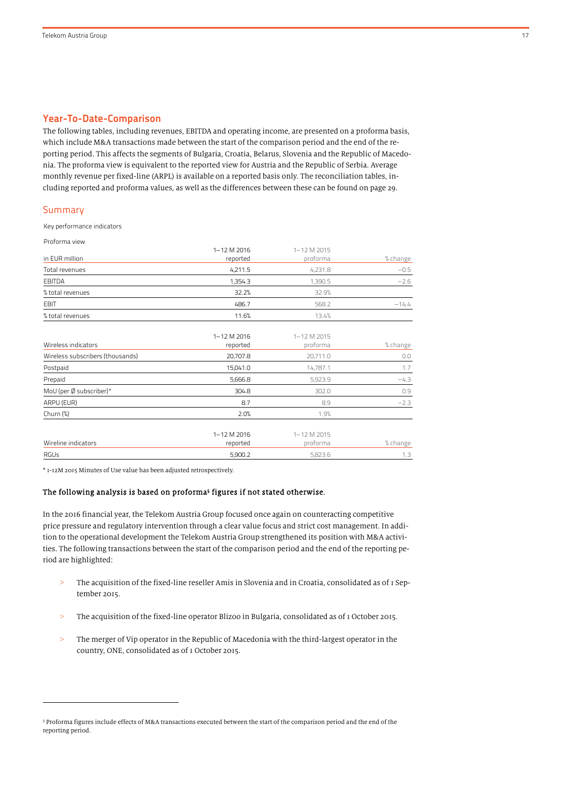#### Year-To-Date-Comparison

The following tables, including revenues, EBITDA and operating income, are presented on a proforma basis, which include M&A transactions made between the start of the comparison period and the end of the reporting period. This affects the segments of Bulgaria, Croatia, Belarus, Slovenia and the Republic of Macedonia. The proforma view is equivalent to the reported view for Austria and the Republic of Serbia. Average monthly revenue per fixed-line (ARPL) is available on a reported basis only. The reconciliation tables, including reported and proforma values, as well as the differences between these can be found on page 29.

#### Summary

Proforma view

1

Key performance indicators

| PIUIUIIII U VIEW                 |             |             |          |
|----------------------------------|-------------|-------------|----------|
|                                  | 1-12 M 2016 | 1-12 M 2015 |          |
| in EUR million                   | reported    | proforma    | % change |
| Total revenues                   | 4,211.5     | 4,231.8     | $-0.5$   |
| EBITDA                           | 1,354.3     | 1,390.5     | $-2.6$   |
| % total revenues                 | 32.2%       | 32.9%       |          |
| <b>EBIT</b>                      | 486.7       | 568.2       | $-14.4$  |
| % total revenues                 | 11.6%       | 13.4%       |          |
|                                  | 1-12 M 2016 | 1-12 M 2015 |          |
| Wireless indicators              | reported    | proforma    | % change |
| Wireless subscribers (thousands) | 20,707.8    | 20,711.0    | 0.0      |
| Postpaid                         | 15,041.0    | 14,787.1    | 1.7      |
| Prepaid                          | 5,666.8     | 5,923.9     | $-4.3$   |
| MoU (per Ø subscriber)*          | 304.8       | 302.0       | 0.9      |
| ARPU (EUR)                       | 8.7         | 8.9         | $-2.3$   |
| Churn (%)                        | 2.0%        | 1.9%        |          |
|                                  | 1-12 M 2016 | 1-12 M 2015 |          |
| Wireline indicators              | reported    | proforma    | % change |
| RGUs                             | 5,900.2     | 5,823.6     | 1.3      |
|                                  |             |             |          |

\* 1-12M 2015 Minutes of Use value has been adjusted retrospectively.

#### The following analysis is based on proforma<sup>5</sup> figures if not stated otherwise.

In the 2016 financial year, the Telekom Austria Group focused once again on counteracting competitive price pressure and regulatory intervention through a clear value focus and strict cost management. In addition to the operational development the Telekom Austria Group strengthened its position with M&A activities. The following transactions between the start of the comparison period and the end of the reporting period are highlighted:

- > The acquisition of the fixed-line reseller Amis in Slovenia and in Croatia, consolidated as of 1 September 2015.
- > The acquisition of the fixed-line operator Blizoo in Bulgaria, consolidated as of 1 October 2015.
- > The merger of Vip operator in the Republic of Macedonia with the third-largest operator in the country, ONE, consolidated as of 1 October 2015.

<sup>5</sup> Proforma figures include effects of M&A transactions executed between the start of the comparison period and the end of the reporting period.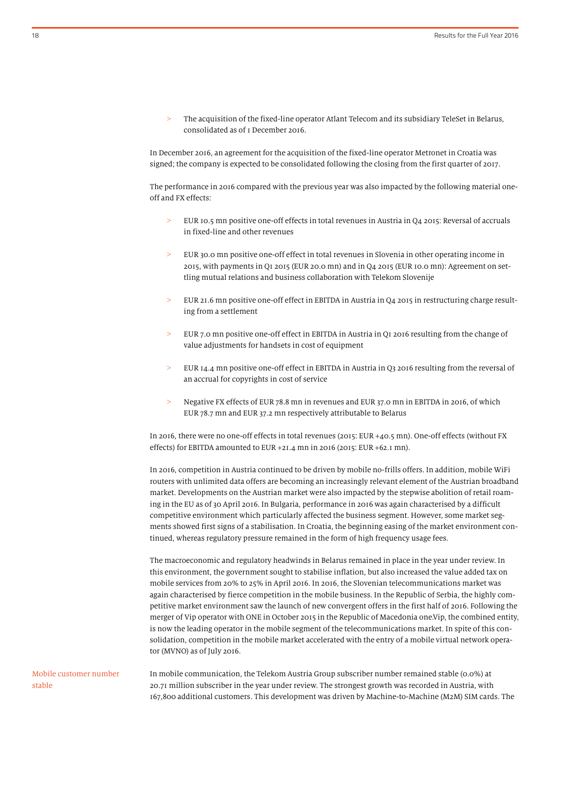The acquisition of the fixed-line operator Atlant Telecom and its subsidiary TeleSet in Belarus, consolidated as of 1 December 2016.

In December 2016, an agreement for the acquisition of the fixed-line operator Metronet in Croatia was signed; the company is expected to be consolidated following the closing from the first quarter of 2017.

The performance in 2016 compared with the previous year was also impacted by the following material oneoff and FX effects:

- EUR 10.5 mn positive one-off effects in total revenues in Austria in Q4 2015: Reversal of accruals in fixed-line and other revenues
- > EUR 30.0 mn positive one-off effect in total revenues in Slovenia in other operating income in 2015, with payments in Q1 2015 (EUR 20.0 mn) and in Q4 2015 (EUR 10.0 mn): Agreement on settling mutual relations and business collaboration with Telekom Slovenije
- > EUR 21.6 mn positive one-off effect in EBITDA in Austria in Q4 2015 in restructuring charge resulting from a settlement
- > EUR 7.0 mn positive one-off effect in EBITDA in Austria in Q1 2016 resulting from the change of value adjustments for handsets in cost of equipment
- EUR 14.4 mn positive one-off effect in EBITDA in Austria in Q3 2016 resulting from the reversal of an accrual for copyrights in cost of service
- > Negative FX effects of EUR 78.8 mn in revenues and EUR 37.0 mn in EBITDA in 2016, of which EUR 78.7 mn and EUR 37.2 mn respectively attributable to Belarus

In 2016, there were no one-off effects in total revenues (2015: EUR +40.5 mn). One-off effects (without FX effects) for EBITDA amounted to EUR +21.4 mn in 2016 (2015: EUR +62.1 mn).

In 2016, competition in Austria continued to be driven by mobile no-frills offers. In addition, mobile WiFi routers with unlimited data offers are becoming an increasingly relevant element of the Austrian broadband market. Developments on the Austrian market were also impacted by the stepwise abolition of retail roaming in the EU as of 30 April 2016. In Bulgaria, performance in 2016 was again characterised by a difficult competitive environment which particularly affected the business segment. However, some market segments showed first signs of a stabilisation. In Croatia, the beginning easing of the market environment continued, whereas regulatory pressure remained in the form of high frequency usage fees.

The macroeconomic and regulatory headwinds in Belarus remained in place in the year under review. In this environment, the government sought to stabilise inflation, but also increased the value added tax on mobile services from 20% to 25% in April 2016. In 2016, the Slovenian telecommunications market was again characterised by fierce competition in the mobile business. In the Republic of Serbia, the highly competitive market environment saw the launch of new convergent offers in the first half of 2016. Following the merger of Vip operator with ONE in October 2015 in the Republic of Macedonia one.Vip, the combined entity, is now the leading operator in the mobile segment of the telecommunications market. In spite of this consolidation, competition in the mobile market accelerated with the entry of a mobile virtual network operator (MVNO) as of July 2016.

Mobile customer number stable

In mobile communication, the Telekom Austria Group subscriber number remained stable (0.0%) at 20.71 million subscriber in the year under review. The strongest growth was recorded in Austria, with 167,800 additional customers. This development was driven by Machine-to-Machine (M2M) SIM cards. The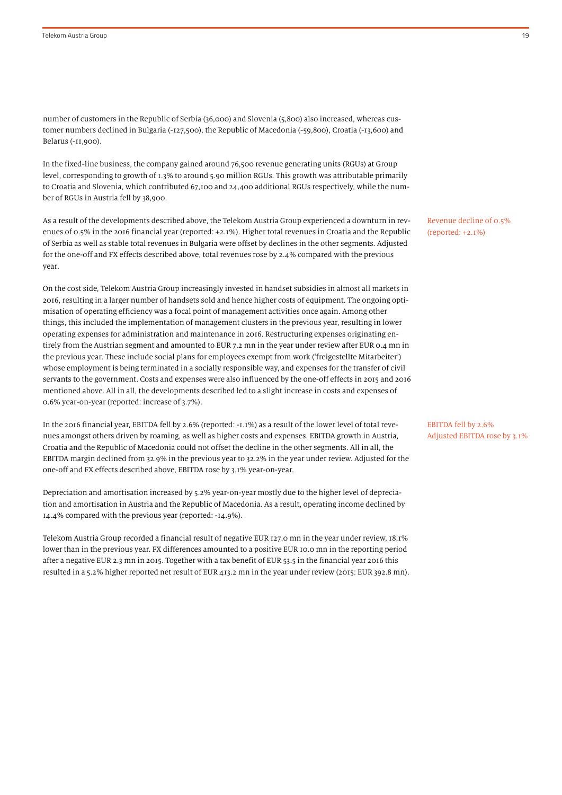number of customers in the Republic of Serbia (36,000) and Slovenia (5,800) also increased, whereas customer numbers declined in Bulgaria (-127,500), the Republic of Macedonia (-59,800), Croatia (-13,600) and Belarus (-11,900).

In the fixed-line business, the company gained around 76,500 revenue generating units (RGUs) at Group level, corresponding to growth of 1.3% to around 5.90 million RGUs. This growth was attributable primarily to Croatia and Slovenia, which contributed 67,100 and 24,400 additional RGUs respectively, while the number of RGUs in Austria fell by 38,900.

As a result of the developments described above, the Telekom Austria Group experienced a downturn in revenues of 0.5% in the 2016 financial year (reported: +2.1%). Higher total revenues in Croatia and the Republic of Serbia as well as stable total revenues in Bulgaria were offset by declines in the other segments. Adjusted for the one-off and FX effects described above, total revenues rose by 2.4% compared with the previous year.

On the cost side, Telekom Austria Group increasingly invested in handset subsidies in almost all markets in 2016, resulting in a larger number of handsets sold and hence higher costs of equipment. The ongoing optimisation of operating efficiency was a focal point of management activities once again. Among other things, this included the implementation of management clusters in the previous year, resulting in lower operating expenses for administration and maintenance in 2016. Restructuring expenses originating entirely from the Austrian segment and amounted to EUR 7.2 mn in the year under review after EUR 0.4 mn in the previous year. These include social plans for employees exempt from work ('freigestellte Mitarbeiter') whose employment is being terminated in a socially responsible way, and expenses for the transfer of civil servants to the government. Costs and expenses were also influenced by the one-off effects in 2015 and 2016 mentioned above. All in all, the developments described led to a slight increase in costs and expenses of 0.6% year-on-year (reported: increase of 3.7%).

In the 2016 financial year, EBITDA fell by 2.6% (reported: -1.1%) as a result of the lower level of total revenues amongst others driven by roaming, as well as higher costs and expenses. EBITDA growth in Austria, Croatia and the Republic of Macedonia could not offset the decline in the other segments. All in all, the EBITDA margin declined from 32.9% in the previous year to 32.2% in the year under review. Adjusted for the one-off and FX effects described above, EBITDA rose by 3.1% year-on-year.

Depreciation and amortisation increased by 5.2% year-on-year mostly due to the higher level of depreciation and amortisation in Austria and the Republic of Macedonia. As a result, operating income declined by 14.4% compared with the previous year (reported: -14.9%).

Telekom Austria Group recorded a financial result of negative EUR 127.0 mn in the year under review, 18.1% lower than in the previous year. FX differences amounted to a positive EUR 10.0 mn in the reporting period after a negative EUR 2.3 mn in 2015. Together with a tax benefit of EUR 53.5 in the financial year 2016 this resulted in a 5.2% higher reported net result of EUR 413.2 mn in the year under review (2015: EUR 392.8 mn). Revenue decline of 0.5% (reported: +2.1%)

EBITDA fell by 2.6% Adjusted EBITDA rose by 3.1%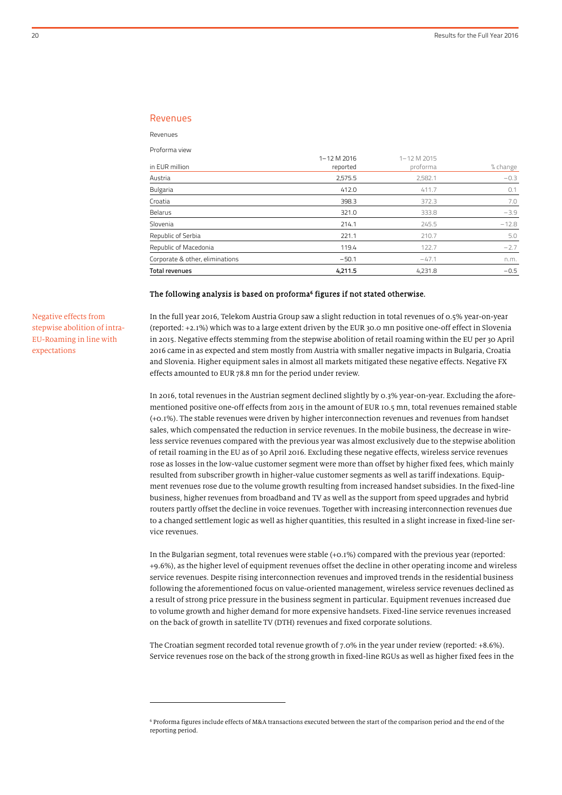#### Revenues

Revenues

 $\overline{a}$ 

|                                 | 1-12 M 2016 | 1-12 M 2015 |          |
|---------------------------------|-------------|-------------|----------|
| in EUR million                  | reported    | proforma    | % change |
| Austria                         | 2,575.5     | 2,582.1     | $-0.3$   |
| <b>Bulgaria</b>                 | 412.0       | 411.7       | 0.1      |
| Croatia                         | 398.3       | 372.3       | 7.0      |
| Belarus                         | 321.0       | 333.8       | $-3.9$   |
| Slovenia                        | 214.1       | 245.5       | $-12.8$  |
| Republic of Serbia              | 221.1       | 210.7       | 5.0      |
| Republic of Macedonia           | 119.4       | 122.7       | $-2.7$   |
| Corporate & other, eliminations | $-50.1$     | $-47.1$     | n.m.     |
| Total revenues                  | 4.211.5     | 4.231.8     | $-0.5$   |

#### The following analysis is based on proforma<sup>6</sup> figures if not stated otherwise.

Negative effects from stepwise abolition of intra-EU-Roaming in line with expectations

In the full year 2016, Telekom Austria Group saw a slight reduction in total revenues of 0.5% year-on-year (reported: +2.1%) which was to a large extent driven by the EUR 30.0 mn positive one-off effect in Slovenia in 2015. Negative effects stemming from the stepwise abolition of retail roaming within the EU per 30 April 2016 came in as expected and stem mostly from Austria with smaller negative impacts in Bulgaria, Croatia and Slovenia. Higher equipment sales in almost all markets mitigated these negative effects. Negative FX effects amounted to EUR 78.8 mn for the period under review.

In 2016, total revenues in the Austrian segment declined slightly by 0.3% year-on-year. Excluding the aforementioned positive one-off effects from 2015 in the amount of EUR 10.5 mn, total revenues remained stable (+0.1%). The stable revenues were driven by higher interconnection revenues and revenues from handset sales, which compensated the reduction in service revenues. In the mobile business, the decrease in wireless service revenues compared with the previous year was almost exclusively due to the stepwise abolition of retail roaming in the EU as of 30 April 2016. Excluding these negative effects, wireless service revenues rose as losses in the low-value customer segment were more than offset by higher fixed fees, which mainly resulted from subscriber growth in higher-value customer segments as well as tariff indexations. Equipment revenues rose due to the volume growth resulting from increased handset subsidies. In the fixed-line business, higher revenues from broadband and TV as well as the support from speed upgrades and hybrid routers partly offset the decline in voice revenues. Together with increasing interconnection revenues due to a changed settlement logic as well as higher quantities, this resulted in a slight increase in fixed-line service revenues.

In the Bulgarian segment, total revenues were stable (+0.1%) compared with the previous year (reported: +9.6%), as the higher level of equipment revenues offset the decline in other operating income and wireless service revenues. Despite rising interconnection revenues and improved trends in the residential business following the aforementioned focus on value-oriented management, wireless service revenues declined as a result of strong price pressure in the business segment in particular. Equipment revenues increased due to volume growth and higher demand for more expensive handsets. Fixed-line service revenues increased on the back of growth in satellite TV (DTH) revenues and fixed corporate solutions.

The Croatian segment recorded total revenue growth of 7.0% in the year under review (reported: +8.6%). Service revenues rose on the back of the strong growth in fixed-line RGUs as well as higher fixed fees in the

<sup>&</sup>lt;sup>6</sup> Proforma figures include effects of M&A transactions executed between the start of the comparison period and the end of the reporting period.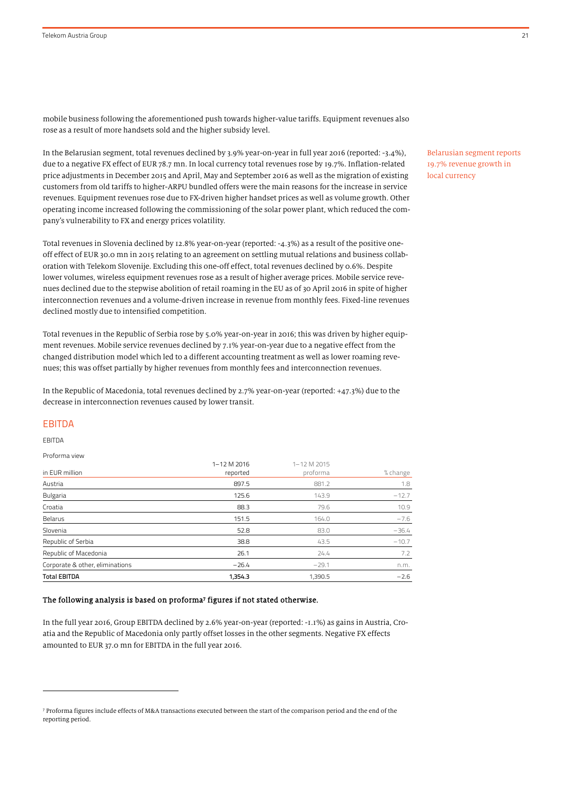mobile business following the aforementioned push towards higher-value tariffs. Equipment revenues also rose as a result of more handsets sold and the higher subsidy level.

In the Belarusian segment, total revenues declined by 3.9% year-on-year in full year 2016 (reported: -3.4%), due to a negative FX effect of EUR 78.7 mn. In local currency total revenues rose by 19.7%. Inflation-related price adjustments in December 2015 and April, May and September 2016 as well as the migration of existing customers from old tariffs to higher-ARPU bundled offers were the main reasons for the increase in service revenues. Equipment revenues rose due to FX-driven higher handset prices as well as volume growth. Other operating income increased following the commissioning of the solar power plant, which reduced the company's vulnerability to FX and energy prices volatility.

Total revenues in Slovenia declined by 12.8% year-on-year (reported: -4.3%) as a result of the positive oneoff effect of EUR 30.0 mn in 2015 relating to an agreement on settling mutual relations and business collaboration with Telekom Slovenije. Excluding this one-off effect, total revenues declined by 0.6%. Despite lower volumes, wireless equipment revenues rose as a result of higher average prices. Mobile service revenues declined due to the stepwise abolition of retail roaming in the EU as of 30 April 2016 in spite of higher interconnection revenues and a volume-driven increase in revenue from monthly fees. Fixed-line revenues declined mostly due to intensified competition.

Total revenues in the Republic of Serbia rose by 5.0% year-on-year in 2016; this was driven by higher equipment revenues. Mobile service revenues declined by 7.1% year-on-year due to a negative effect from the changed distribution model which led to a different accounting treatment as well as lower roaming revenues; this was offset partially by higher revenues from monthly fees and interconnection revenues.

In the Republic of Macedonia, total revenues declined by 2.7% year-on-year (reported: +47.3%) due to the decrease in interconnection revenues caused by lower transit.

#### EBITDA

EBITDA

1

Proforma view

|                                 | 1-12 M 2016 | 1-12 M 2015 |          |
|---------------------------------|-------------|-------------|----------|
| in EUR million                  | reported    | proforma    | % change |
| Austria                         | 897.5       | 881.2       | 1.8      |
| Bulgaria                        | 125.6       | 143.9       | $-12.7$  |
| Croatia                         | 88.3        | 79.6        | 10.9     |
| Belarus                         | 151.5       | 164.0       | $-7.6$   |
| Slovenia                        | 52.8        | 83.0        | $-36.4$  |
| Republic of Serbia              | 38.8        | 43.5        | $-10.7$  |
| Republic of Macedonia           | 26.1        | 24.4        | 7.2      |
| Corporate & other, eliminations | $-26.4$     | $-29.1$     | n.m.     |
| <b>Total EBITDA</b>             | 1,354.3     | 1,390.5     | $-2.6$   |

#### The following analysis is based on proforma<sup>7</sup> figures if not stated otherwise.

In the full year 2016, Group EBITDA declined by 2.6% year-on-year (reported: -1.1%) as gains in Austria, Croatia and the Republic of Macedonia only partly offset losses in the other segments. Negative FX effects amounted to EUR 37.0 mn for EBITDA in the full year 2016.

Belarusian segment reports 19.7% revenue growth in local currency

<sup>7</sup> Proforma figures include effects of M&A transactions executed between the start of the comparison period and the end of the reporting period.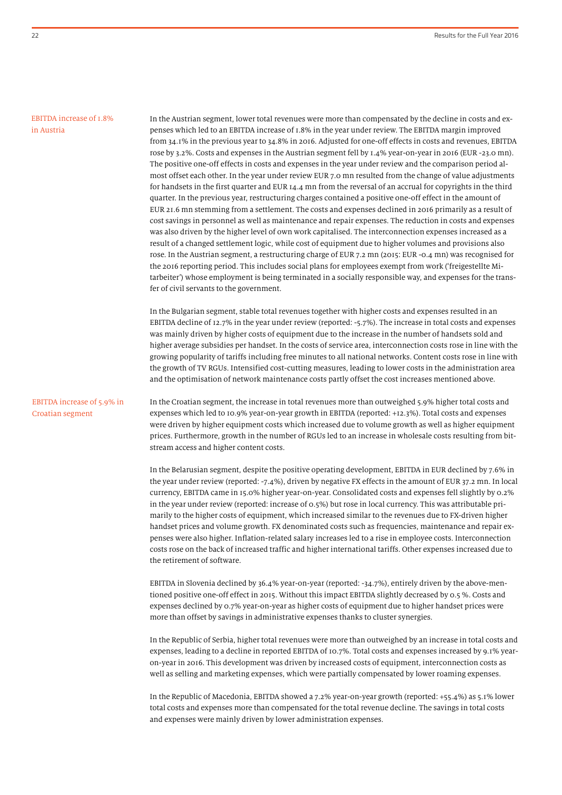#### EBITDA increase of 1.8% in Austria

In the Austrian segment, lower total revenues were more than compensated by the decline in costs and expenses which led to an EBITDA increase of 1.8% in the year under review. The EBITDA margin improved from 34.1% in the previous year to 34.8% in 2016. Adjusted for one-off effects in costs and revenues, EBITDA rose by 3.2%. Costs and expenses in the Austrian segment fell by 1.4% year-on-year in 2016 (EUR -23.0 mn). The positive one-off effects in costs and expenses in the year under review and the comparison period almost offset each other. In the year under review EUR 7.0 mn resulted from the change of value adjustments for handsets in the first quarter and EUR 14.4 mn from the reversal of an accrual for copyrights in the third quarter. In the previous year, restructuring charges contained a positive one-off effect in the amount of EUR 21.6 mn stemming from a settlement. The costs and expenses declined in 2016 primarily as a result of cost savings in personnel as well as maintenance and repair expenses. The reduction in costs and expenses was also driven by the higher level of own work capitalised. The interconnection expenses increased as a result of a changed settlement logic, while cost of equipment due to higher volumes and provisions also rose. In the Austrian segment, a restructuring charge of EUR 7.2 mn (2015: EUR -0.4 mn) was recognised for the 2016 reporting period. This includes social plans for employees exempt from work ('freigestellte Mitarbeiter') whose employment is being terminated in a socially responsible way, and expenses for the transfer of civil servants to the government.

In the Bulgarian segment, stable total revenues together with higher costs and expenses resulted in an EBITDA decline of 12.7% in the year under review (reported: -5.7%). The increase in total costs and expenses was mainly driven by higher costs of equipment due to the increase in the number of handsets sold and higher average subsidies per handset. In the costs of service area, interconnection costs rose in line with the growing popularity of tariffs including free minutes to all national networks. Content costs rose in line with the growth of TV RGUs. Intensified cost-cutting measures, leading to lower costs in the administration area and the optimisation of network maintenance costs partly offset the cost increases mentioned above.

#### EBITDA increase of 5.9% in Croatian segment

In the Croatian segment, the increase in total revenues more than outweighed 5.9% higher total costs and expenses which led to 10.9% year-on-year growth in EBITDA (reported: +12.3%). Total costs and expenses were driven by higher equipment costs which increased due to volume growth as well as higher equipment prices. Furthermore, growth in the number of RGUs led to an increase in wholesale costs resulting from bitstream access and higher content costs.

In the Belarusian segment, despite the positive operating development, EBITDA in EUR declined by 7.6% in the year under review (reported: -7.4%), driven by negative FX effects in the amount of EUR 37.2 mn. In local currency, EBITDA came in 15.0% higher year-on-year. Consolidated costs and expenses fell slightly by 0.2% in the year under review (reported: increase of 0.5%) but rose in local currency. This was attributable primarily to the higher costs of equipment, which increased similar to the revenues due to FX-driven higher handset prices and volume growth. FX denominated costs such as frequencies, maintenance and repair expenses were also higher. Inflation-related salary increases led to a rise in employee costs. Interconnection costs rose on the back of increased traffic and higher international tariffs. Other expenses increased due to the retirement of software.

EBITDA in Slovenia declined by 36.4% year-on-year (reported: -34.7%), entirely driven by the above-mentioned positive one-off effect in 2015. Without this impact EBITDA slightly decreased by 0.5 %. Costs and expenses declined by 0.7% year-on-year as higher costs of equipment due to higher handset prices were more than offset by savings in administrative expenses thanks to cluster synergies.

In the Republic of Serbia, higher total revenues were more than outweighed by an increase in total costs and expenses, leading to a decline in reported EBITDA of 10.7%. Total costs and expenses increased by 9.1% yearon-year in 2016. This development was driven by increased costs of equipment, interconnection costs as well as selling and marketing expenses, which were partially compensated by lower roaming expenses.

In the Republic of Macedonia, EBITDA showed a 7.2% year-on-year growth (reported: +55.4%) as 5.1% lower total costs and expenses more than compensated for the total revenue decline. The savings in total costs and expenses were mainly driven by lower administration expenses.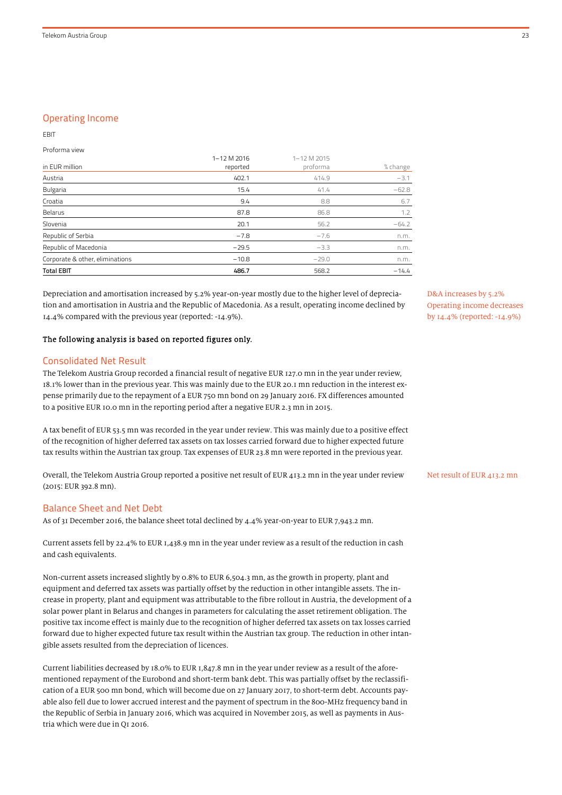## Operating Income

#### EBIT

Proforma view

| <b>Total EBIT</b>               | 486.7                   | 568.2                   | $-14.4$  |
|---------------------------------|-------------------------|-------------------------|----------|
| Corporate & other, eliminations | $-10.8$                 | $-29.0$                 | n.m.     |
| Republic of Macedonia           | $-29.5$                 | $-3.3$                  | n.m.     |
| Republic of Serbia              | $-7.8$                  | $-7.6$                  | n.m.     |
| Slovenia                        | 20.1                    | 56.2                    | $-64.2$  |
| Belarus                         | 87.8                    | 86.8                    | 1.2      |
| Croatia                         | 9.4                     | 8.8                     | 6.7      |
| Bulgaria                        | 15.4                    | 41.4                    | $-62.8$  |
| Austria                         | 402.1                   | 414.9                   | $-3.1$   |
| in EUR million                  | 1-12 M 2016<br>reported | 1-12 M 2015<br>proforma | % change |

Depreciation and amortisation increased by 5.2% year-on-year mostly due to the higher level of depreciation and amortisation in Austria and the Republic of Macedonia. As a result, operating income declined by 14.4% compared with the previous year (reported: -14.9%).

## The following analysis is based on reported figures only.

#### Consolidated Net Result

The Telekom Austria Group recorded a financial result of negative EUR 127.0 mn in the year under review, 18.1% lower than in the previous year. This was mainly due to the EUR 20.1 mn reduction in the interest expense primarily due to the repayment of a EUR 750 mn bond on 29 January 2016. FX differences amounted to a positive EUR 10.0 mn in the reporting period after a negative EUR 2.3 mn in 2015.

A tax benefit of EUR 53.5 mn was recorded in the year under review. This was mainly due to a positive effect of the recognition of higher deferred tax assets on tax losses carried forward due to higher expected future tax results within the Austrian tax group. Tax expenses of EUR 23.8 mn were reported in the previous year.

Overall, the Telekom Austria Group reported a positive net result of EUR 413.2 mn in the year under review (2015: EUR 392.8 mn).

#### Balance Sheet and Net Debt

As of 31 December 2016, the balance sheet total declined by 4.4% year-on-year to EUR 7,943.2 mn.

Current assets fell by 22.4% to EUR 1,438.9 mn in the year under review as a result of the reduction in cash and cash equivalents.

Non-current assets increased slightly by 0.8% to EUR 6,504.3 mn, as the growth in property, plant and equipment and deferred tax assets was partially offset by the reduction in other intangible assets. The increase in property, plant and equipment was attributable to the fibre rollout in Austria, the development of a solar power plant in Belarus and changes in parameters for calculating the asset retirement obligation. The positive tax income effect is mainly due to the recognition of higher deferred tax assets on tax losses carried forward due to higher expected future tax result within the Austrian tax group. The reduction in other intangible assets resulted from the depreciation of licences.

Current liabilities decreased by 18.0% to EUR 1,847.8 mn in the year under review as a result of the aforementioned repayment of the Eurobond and short-term bank debt. This was partially offset by the reclassification of a EUR 500 mn bond, which will become due on 27 January 2017, to short-term debt. Accounts payable also fell due to lower accrued interest and the payment of spectrum in the 800-MHz frequency band in the Republic of Serbia in January 2016, which was acquired in November 2015, as well as payments in Austria which were due in Q1 2016.

D&A increases by 5.2% Operating income decreases by 14.4% (reported: -14.9%)

#### Net result of EUR 413.2 mn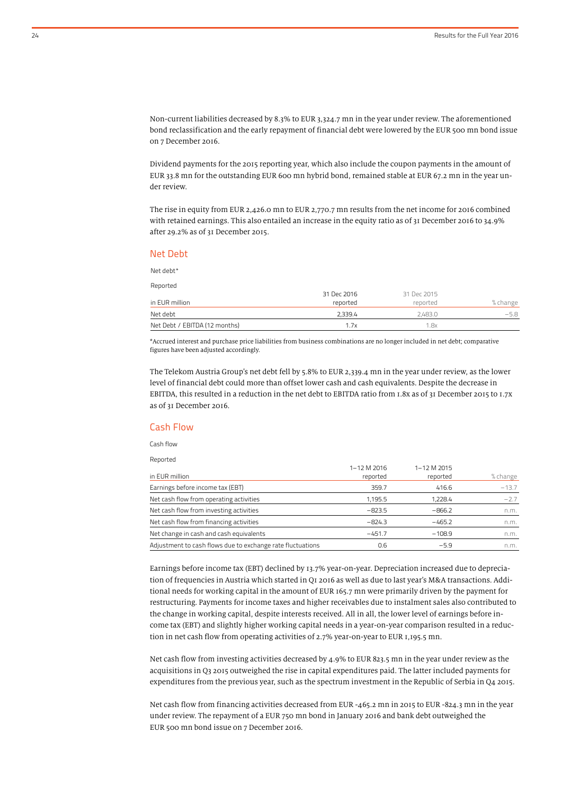Non-current liabilities decreased by 8.3% to EUR 3,324.7 mn in the year under review. The aforementioned bond reclassification and the early repayment of financial debt were lowered by the EUR 500 mn bond issue on 7 December 2016.

Dividend payments for the 2015 reporting year, which also include the coupon payments in the amount of EUR 33.8 mn for the outstanding EUR 600 mn hybrid bond, remained stable at EUR 67.2 mn in the year under review.

The rise in equity from EUR 2,426.0 mn to EUR 2,770.7 mn results from the net income for 2016 combined with retained earnings. This also entailed an increase in the equity ratio as of 31 December 2016 to 34.9% after 29.2% as of 31 December 2015.

#### Net Debt

Net debt\*

| Reported                      |             |             |          |
|-------------------------------|-------------|-------------|----------|
|                               | 31 Dec 2016 | 31 Dec 2015 |          |
| in EUR million                | reported    | reported    | % change |
| Net debt                      | 2.339.4     | 2.483.0     | $-5.8$   |
| Net Debt / EBITDA (12 months) | 1.7x        | 1.8x        |          |

\*Accrued interest and purchase price liabilities from business combinations are no longer included in net debt; comparative figures have been adjusted accordingly.

The Telekom Austria Group's net debt fell by 5.8% to EUR 2,339.4 mn in the year under review, as the lower level of financial debt could more than offset lower cash and cash equivalents. Despite the decrease in EBITDA, this resulted in a reduction in the net debt to EBITDA ratio from 1.8x as of 31 December 2015 to 1.7x as of 31 December 2016.

#### Cash Flow

Cash flow

Reported

| in EUR million                                             | 1-12 M 2016<br>reported | 1-12 M 2015<br>reported | % change |
|------------------------------------------------------------|-------------------------|-------------------------|----------|
| Earnings before income tax (EBT)                           | 359.7                   | 416.6                   | $-13.7$  |
| Net cash flow from operating activities                    | 1.195.5                 | 1.228.4                 | $-2.7$   |
| Net cash flow from investing activities                    | $-823.5$                | $-866.2$                | n.m.     |
| Net cash flow from financing activities                    | $-824.3$                | $-465.2$                | n.m.     |
| Net change in cash and cash equivalents                    | $-451.7$                | $-108.9$                | n.m.     |
| Adjustment to cash flows due to exchange rate fluctuations | 0.6                     | $-5.9$                  | n.m.     |

Earnings before income tax (EBT) declined by 13.7% year-on-year. Depreciation increased due to depreciation of frequencies in Austria which started in Q1 2016 as well as due to last year's M&A transactions. Additional needs for working capital in the amount of EUR 165.7 mn were primarily driven by the payment for restructuring. Payments for income taxes and higher receivables due to instalment sales also contributed to the change in working capital, despite interests received. All in all, the lower level of earnings before income tax (EBT) and slightly higher working capital needs in a year-on-year comparison resulted in a reduction in net cash flow from operating activities of 2.7% year-on-year to EUR 1,195.5 mn.

Net cash flow from investing activities decreased by 4.9% to EUR 823.5 mn in the year under review as the acquisitions in Q3 2015 outweighed the rise in capital expenditures paid. The latter included payments for expenditures from the previous year, such as the spectrum investment in the Republic of Serbia in Q4 2015.

Net cash flow from financing activities decreased from EUR -465.2 mn in 2015 to EUR -824.3 mn in the year under review. The repayment of a EUR 750 mn bond in January 2016 and bank debt outweighed the EUR 500 mn bond issue on 7 December 2016.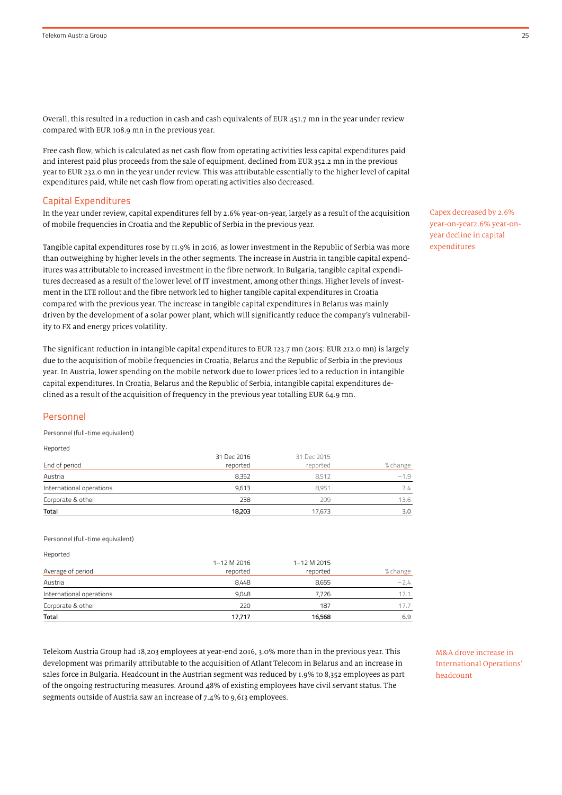Overall, this resulted in a reduction in cash and cash equivalents of EUR 451.7 mn in the year under review compared with EUR 108.9 mn in the previous year.

Free cash flow, which is calculated as net cash flow from operating activities less capital expenditures paid and interest paid plus proceeds from the sale of equipment, declined from EUR 352.2 mn in the previous year to EUR 232.0 mn in the year under review. This was attributable essentially to the higher level of capital expenditures paid, while net cash flow from operating activities also decreased.

#### Capital Expenditures

In the year under review, capital expenditures fell by 2.6% year-on-year, largely as a result of the acquisition of mobile frequencies in Croatia and the Republic of Serbia in the previous year.

Tangible capital expenditures rose by 11.9% in 2016, as lower investment in the Republic of Serbia was more than outweighing by higher levels in the other segments. The increase in Austria in tangible capital expenditures was attributable to increased investment in the fibre network. In Bulgaria, tangible capital expenditures decreased as a result of the lower level of IT investment, among other things. Higher levels of investment in the LTE rollout and the fibre network led to higher tangible capital expenditures in Croatia compared with the previous year. The increase in tangible capital expenditures in Belarus was mainly driven by the development of a solar power plant, which will significantly reduce the company's vulnerability to FX and energy prices volatility.

The significant reduction in intangible capital expenditures to EUR 123.7 mn (2015: EUR 212.0 mn) is largely due to the acquisition of mobile frequencies in Croatia, Belarus and the Republic of Serbia in the previous year. In Austria, lower spending on the mobile network due to lower prices led to a reduction in intangible capital expenditures. In Croatia, Belarus and the Republic of Serbia, intangible capital expenditures declined as a result of the acquisition of frequency in the previous year totalling EUR 64.9 mn.

#### Personnel

Personnel (full-time equivalent)

Reported

|                          | 31 Dec 2016 | 31 Dec 2015 |          |
|--------------------------|-------------|-------------|----------|
| End of period            | reported    | reported    | % change |
| Austria                  | 8.352       | 8.512       | $-1.9$   |
| International operations | 9.613       | 8.951       | 7.4      |
| Corporate & other        | 238         | 209         | 13.6     |
| Total                    | 18,203      | 17,673      | 3.0      |

Personnel (full-time equivalent)

| Reported                 |             |             |          |
|--------------------------|-------------|-------------|----------|
|                          | 1-12 M 2016 | 1-12 M 2015 |          |
| Average of period        | reported    | reported    | % change |
| Austria                  | 8,448       | 8,655       | $-2.4$   |
| International operations | 9,048       | 7.726       | 17.1     |
| Corporate & other        | 220         | 187         | 17.7     |
| Total                    | 17,717      | 16,568      | 6.9      |

Telekom Austria Group had 18,203 employees at year-end 2016, 3.0% more than in the previous year. This development was primarily attributable to the acquisition of Atlant Telecom in Belarus and an increase in sales force in Bulgaria. Headcount in the Austrian segment was reduced by 1.9% to 8,352 employees as part of the ongoing restructuring measures. Around 48% of existing employees have civil servant status. The segments outside of Austria saw an increase of 7.4% to 9,613 employees.

M&A drove increase in International Operations' headcount

Capex decreased by 2.6% year-on-year2.6% year-onyear decline in capital expenditures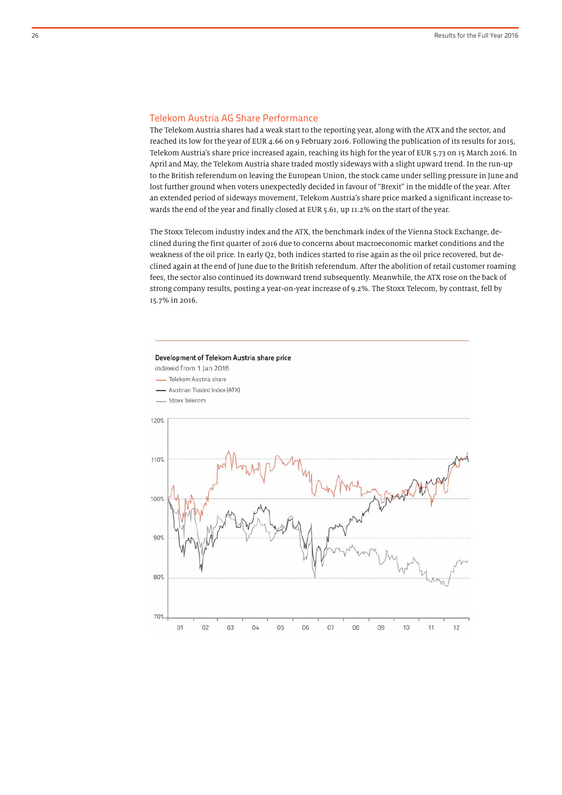## Telekom Austria AG Share Performance

The Telekom Austria shares had a weak start to the reporting year, along with the ATX and the sector, and reached its low for the year of EUR 4.66 on 9 February 2016. Following the publication of its results for 2015, Telekom Austria's share price increased again, reaching its high for the year of EUR 5.73 on 15 March 2016. In April and May, the Telekom Austria share traded mostly sideways with a slight upward trend. In the run-up to the British referendum on leaving the European Union, the stock came under selling pressure in June and lost further ground when voters unexpectedly decided in favour of "Brexit" in the middle of the year. After an extended period of sideways movement, Telekom Austria's share price marked a significant increase towards the end of the year and finally closed at EUR 5.61, up 11.2% on the start of the year.

The Stoxx Telecom industry index and the ATX, the benchmark index of the Vienna Stock Exchange, declined during the first quarter of 2016 due to concerns about macroeconomic market conditions and the weakness of the oil price. In early Q2, both indices started to rise again as the oil price recovered, but declined again at the end of June due to the British referendum. After the abolition of retail customer roaming fees, the sector also continued its downward trend subsequently. Meanwhile, the ATX rose on the back of strong company results, posting a year-on-year increase of 9.2%. The Stoxx Telecom, by contrast, fell by 15.7% in 2016.

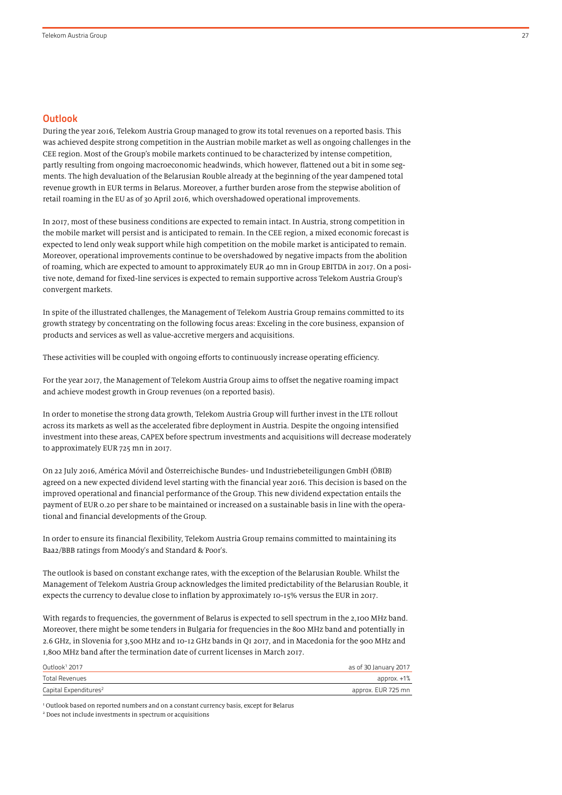#### **Outlook**

During the year 2016, Telekom Austria Group managed to grow its total revenues on a reported basis. This was achieved despite strong competition in the Austrian mobile market as well as ongoing challenges in the CEE region. Most of the Group's mobile markets continued to be characterized by intense competition, partly resulting from ongoing macroeconomic headwinds, which however, flattened out a bit in some segments. The high devaluation of the Belarusian Rouble already at the beginning of the year dampened total revenue growth in EUR terms in Belarus. Moreover, a further burden arose from the stepwise abolition of retail roaming in the EU as of 30 April 2016, which overshadowed operational improvements.

In 2017, most of these business conditions are expected to remain intact. In Austria, strong competition in the mobile market will persist and is anticipated to remain. In the CEE region, a mixed economic forecast is expected to lend only weak support while high competition on the mobile market is anticipated to remain. Moreover, operational improvements continue to be overshadowed by negative impacts from the abolition of roaming, which are expected to amount to approximately EUR 40 mn in Group EBITDA in 2017. On a positive note, demand for fixed-line services is expected to remain supportive across Telekom Austria Group's convergent markets.

In spite of the illustrated challenges, the Management of Telekom Austria Group remains committed to its growth strategy by concentrating on the following focus areas: Exceling in the core business, expansion of products and services as well as value-accretive mergers and acquisitions.

These activities will be coupled with ongoing efforts to continuously increase operating efficiency.

For the year 2017, the Management of Telekom Austria Group aims to offset the negative roaming impact and achieve modest growth in Group revenues (on a reported basis).

In order to monetise the strong data growth, Telekom Austria Group will further invest in the LTE rollout across its markets as well as the accelerated fibre deployment in Austria. Despite the ongoing intensified investment into these areas, CAPEX before spectrum investments and acquisitions will decrease moderately to approximately EUR 725 mn in 2017.

On 22 July 2016, América Móvil and Österreichische Bundes- und Industriebeteiligungen GmbH (ÖBIB) agreed on a new expected dividend level starting with the financial year 2016. This decision is based on the improved operational and financial performance of the Group. This new dividend expectation entails the payment of EUR 0.20 per share to be maintained or increased on a sustainable basis in line with the operational and financial developments of the Group.

In order to ensure its financial flexibility, Telekom Austria Group remains committed to maintaining its Baa2/BBB ratings from Moody's and Standard & Poor's.

The outlook is based on constant exchange rates, with the exception of the Belarusian Rouble. Whilst the Management of Telekom Austria Group acknowledges the limited predictability of the Belarusian Rouble, it expects the currency to devalue close to inflation by approximately 10-15% versus the EUR in 2017.

With regards to frequencies, the government of Belarus is expected to sell spectrum in the 2,100 MHz band. Moreover, there might be some tenders in Bulgaria for frequencies in the 800 MHz band and potentially in 2.6 GHz, in Slovenia for 3,500 MHz and 10-12 GHz bands in Q1 2017, and in Macedonia for the 900 MHz and 1,800 MHz band after the termination date of current licenses in March 2017.

| Outlook <sup>1</sup> 2017         | as of 30 January 2017 |
|-----------------------------------|-----------------------|
| Total Revenues                    | approx. +1%           |
| Capital Expenditures <sup>2</sup> | approx. EUR 725 mn    |

<sup>1</sup> Outlook based on reported numbers and on a constant currency basis, except for Belarus <sup>2</sup> Does not include investments in spectrum or acquisitions <sup>2</sup> Does not include investments in spectrum or acquisitions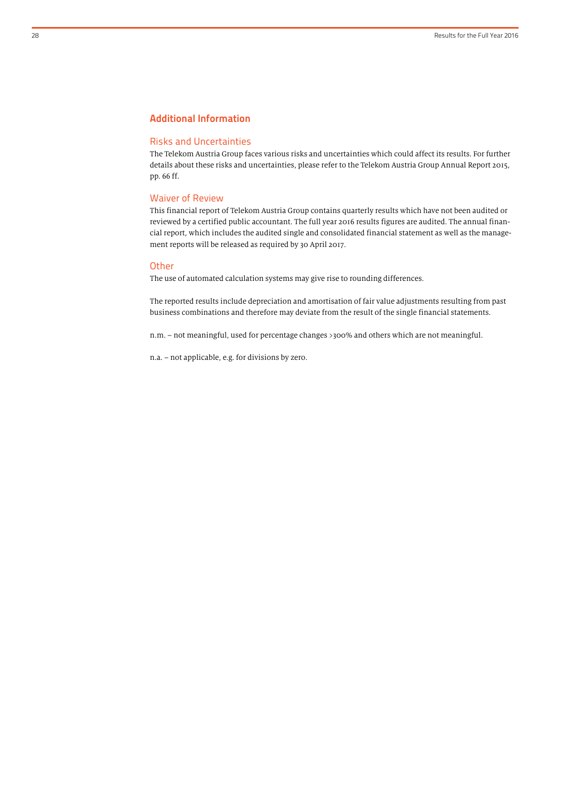## Additional Information

#### Risks and Uncertainties

The Telekom Austria Group faces various risks and uncertainties which could affect its results. For further details about these risks and uncertainties, please refer to the Telekom Austria Group Annual Report 2015, pp. 66 ff.

#### Waiver of Review

This financial report of Telekom Austria Group contains quarterly results which have not been audited or reviewed by a certified public accountant. The full year 2016 results figures are audited. The annual financial report, which includes the audited single and consolidated financial statement as well as the management reports will be released as required by 30 April 2017.

#### **Other**

The use of automated calculation systems may give rise to rounding differences.

The reported results include depreciation and amortisation of fair value adjustments resulting from past business combinations and therefore may deviate from the result of the single financial statements.

n.m. – not meaningful, used for percentage changes >300% and others which are not meaningful.

n.a. – not applicable, e.g. for divisions by zero.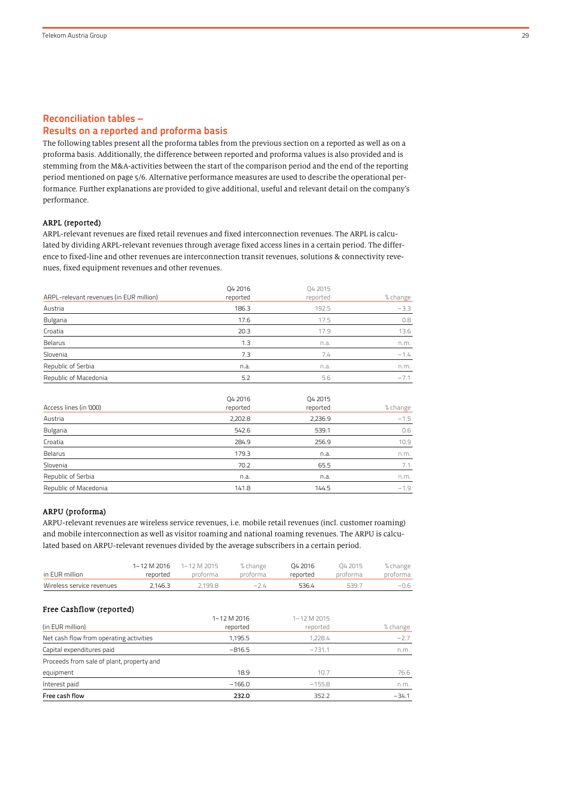## Reconciliation tables – Results on a reported and proforma basis

The following tables present all the proforma tables from the previous section on a reported as well as on a proforma basis. Additionally, the difference between reported and proforma values is also provided and is stemming from the M&A-activities between the start of the comparison period and the end of the reporting period mentioned on page 5/6. Alternative performance measures are used to describe the operational performance. Further explanations are provided to give additional, useful and relevant detail on the company's performance.

## ARPL (reported)

ARPL-relevant revenues are fixed retail revenues and fixed interconnection revenues. The ARPL is calculated by dividing ARPL-relevant revenues through average fixed access lines in a certain period. The difference to fixed-line and other revenues are interconnection transit revenues, solutions & connectivity revenues, fixed equipment revenues and other revenues.

| ARPL-relevant revenues (in EUR million) | Q4 2016<br>reported | Q4 2015<br>reported | % change |
|-----------------------------------------|---------------------|---------------------|----------|
| Austria                                 | 186.3               | 192.5               | $-3.3$   |
| Bulgaria                                | 17.6                | 17.5                | 0.8      |
| Croatia                                 | 20.3                | 17.9                | 13.6     |
| Belarus                                 | 1.3                 | n.a.                | n.m.     |
| Slovenia                                | 7.3                 | 7.4                 | $-1.4$   |
| Republic of Serbia                      | n.a.                | n.a.                | n.m.     |
| Republic of Macedonia                   | 5.2                 | 5.6                 | $-7.1$   |

| Access lines (in '000) | Q4 2016<br>reported | Q4 2015<br>reported | % change |
|------------------------|---------------------|---------------------|----------|
| Austria                | 2,202.8             | 2,236.9             | $-1.5$   |
| Bulgaria               | 542.6               | 539.1               | 0.6      |
| Croatia                | 284.9               | 256.9               | 10.9     |
| Belarus                | 179.3               | n.a.                | n.m.     |
| Slovenia               | 70.2                | 65.5                | 7.1      |
| Republic of Serbia     | n.a.                | n.a.                | n.m.     |
| Republic of Macedonia  | 141.8               | 144.5               | $-1.9$   |

#### ARPU (proforma)

ARPU-relevant revenues are wireless service revenues, i.e. mobile retail revenues (incl. customer roaming) and mobile interconnection as well as visitor roaming and national roaming revenues. The ARPU is calculated based on ARPU-relevant revenues divided by the average subscribers in a certain period.

| in EUR million                            | 1-12 M 2016<br>reported | 1-12 M 2015<br>proforma | % change<br>proforma    | 04 2016<br>reported     | 04 2015<br>proforma | % change<br>proforma |
|-------------------------------------------|-------------------------|-------------------------|-------------------------|-------------------------|---------------------|----------------------|
| Wireless service revenues                 | 2,146.3                 | 2,199.8                 | $-2.4$                  | 536.4                   | 539.7               | $-0.6$               |
| Free Cashflow (reported)                  |                         |                         |                         |                         |                     |                      |
| (in EUR million)                          |                         |                         | 1-12 M 2016<br>reported | 1-12 M 2015<br>reported |                     | % change             |
| Net cash flow from operating activities   |                         |                         | 1,195.5                 | 1,228.4                 |                     | $-2.7$               |
| Capital expenditures paid                 |                         |                         | $-816.5$                | $-731.1$                |                     | n.m.                 |
| Proceeds from sale of plant, property and |                         |                         |                         |                         |                     |                      |
| equipment                                 |                         |                         | 18.9                    | 10.7                    |                     | 76.6                 |
| Interest paid                             |                         |                         | $-166.0$                | $-155.8$                |                     | n.m.                 |
| Free cash flow                            |                         |                         | 232.0                   | 352.2                   |                     | $-34.1$              |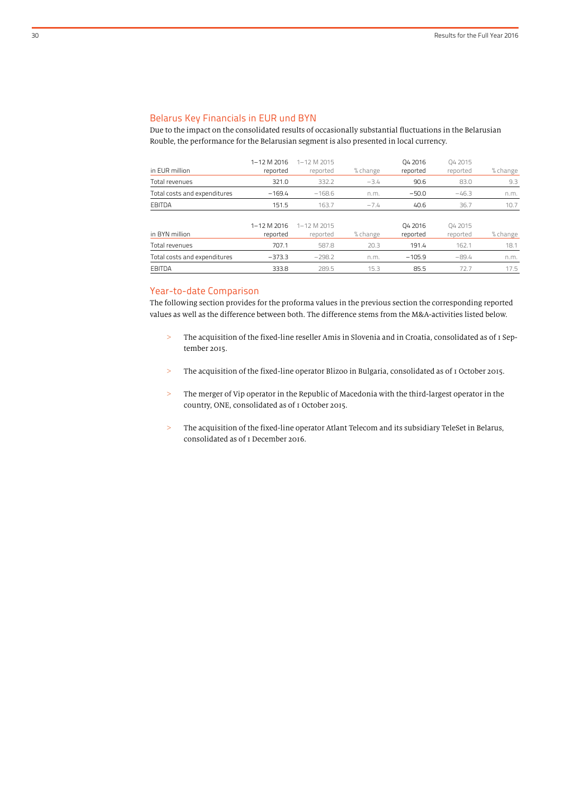## Belarus Key Financials in EUR und BYN

Due to the impact on the consolidated results of occasionally substantial fluctuations in the Belarusian Rouble, the performance for the Belarusian segment is also presented in local currency.

| in EUR million               | 1-12 M 2016<br>reported | 1-12 M 2015<br>reported | % change | 04 2016<br>reported | 04 2015<br>reported | % change |
|------------------------------|-------------------------|-------------------------|----------|---------------------|---------------------|----------|
| Total revenues               | 321.0                   | 332.2                   | $-3.4$   | 90.6                | 83.0                | 9.3      |
| Total costs and expenditures | $-169.4$                | $-168.6$                | n.m.     | $-50.0$             | $-46.3$             | n.m.     |
| EBITDA                       | 151.5                   | 163.7                   | $-7.4$   | 40.6                | 36.7                | 10.7     |
| in BYN million               | 1-12 M 2016<br>reported | 1-12 M 2015<br>reported | % change | 04 2016<br>reported | 04 2015<br>reported | % change |
| Total revenues               | 707.1                   | 587.8                   | 20.3     | 191.4               | 162.1               | 18.1     |
| Total costs and expenditures | $-373.3$                | $-298.2$                | n.m.     | $-105.9$            | $-89.4$             | n.m.     |
| EBITDA                       | 333.8                   | 289.5                   | 15.3     | 85.5                | 72.7                | 17.5     |

## Year-to-date Comparison

The following section provides for the proforma values in the previous section the corresponding reported values as well as the difference between both. The difference stems from the M&A-activities listed below.

- > The acquisition of the fixed-line reseller Amis in Slovenia and in Croatia, consolidated as of 1 September 2015.
- > The acquisition of the fixed-line operator Blizoo in Bulgaria, consolidated as of 1 October 2015.
- > The merger of Vip operator in the Republic of Macedonia with the third-largest operator in the country, ONE, consolidated as of 1 October 2015.
- > The acquisition of the fixed-line operator Atlant Telecom and its subsidiary TeleSet in Belarus, consolidated as of 1 December 2016.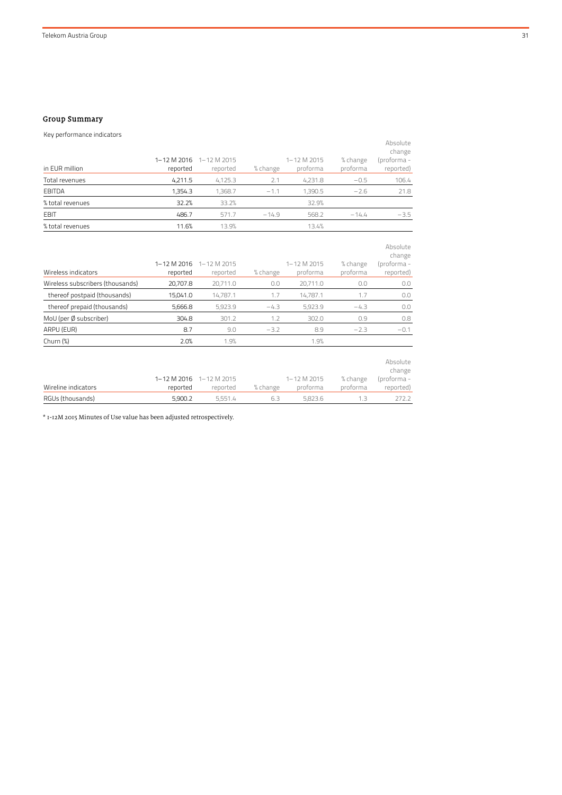## Group Summary

| Key performance indicators |          |                         |          |             |          |                    |
|----------------------------|----------|-------------------------|----------|-------------|----------|--------------------|
|                            |          |                         |          |             |          | Absolute<br>change |
|                            |          | 1-12 M 2016 1-12 M 2015 |          | 1-12 M 2015 | % change | (proforma -        |
| in EUR million             | reported | reported                | % change | proforma    | proforma | reported)          |
| Total revenues             | 4,211.5  | 4,125.3                 | 2.1      | 4,231.8     | $-0.5$   | 106.4              |
| <b>EBITDA</b>              | 1,354.3  | 1,368.7                 | $-1.1$   | 1,390.5     | $-2.6$   | 21.8               |
| % total revenues           | 32.2%    | 33.2%                   |          | 32.9%       |          |                    |
| <b>EBIT</b>                | 486.7    | 571.7                   | $-14.9$  | 568.2       | $-14.4$  | $-3.5$             |
| % total revenues           | 11.6%    | 13.9%                   |          | 13.4%       |          |                    |

| Wireless indicators              | 1-12 M 2016<br>reported | 1-12 M 2015<br>reported | % change | 1-12 M 2015<br>proforma | % change<br>proforma | Absolute<br>change<br>(proforma -<br>reported) |
|----------------------------------|-------------------------|-------------------------|----------|-------------------------|----------------------|------------------------------------------------|
| Wireless subscribers (thousands) | 20,707.8                | 20,711.0                | 0.0      | 20,711.0                | 0.0                  | 0.0                                            |
| thereof postpaid (thousands)     | 15,041.0                | 14.787.1                | 1.7      | 14.787.1                | 1.7                  | 0.0                                            |
| thereof prepaid (thousands)      | 5,666.8                 | 5,923.9                 | $-4.3$   | 5,923.9                 | $-4.3$               | 0.0                                            |
| MoU (per Ø subscriber)           | 304.8                   | 301.2                   | 1.2      | 302.0                   | 0.9                  | 0.8                                            |
| ARPU (EUR)                       | 8.7                     | 9.0                     | $-3.2$   | 8.9                     | $-2.3$               | $-0.1$                                         |
| Churn $(\%)$                     | 2.0%                    | 1.9%                    |          | 1.9%                    |                      |                                                |
| Wireline indicators              | 1-12 M 2016<br>reported | 1-12 M 2015<br>reported | % change | 1-12 M 2015<br>proforma | % change<br>proforma | Absolute<br>change<br>(proforma -<br>reported) |
| RGUs (thousands)                 | 5,900.2                 | 5,551.4                 | 6.3      | 5,823.6                 | 1.3                  | 272.2                                          |

\* 1-12M 2015 Minutes of Use value has been adjusted retrospectively.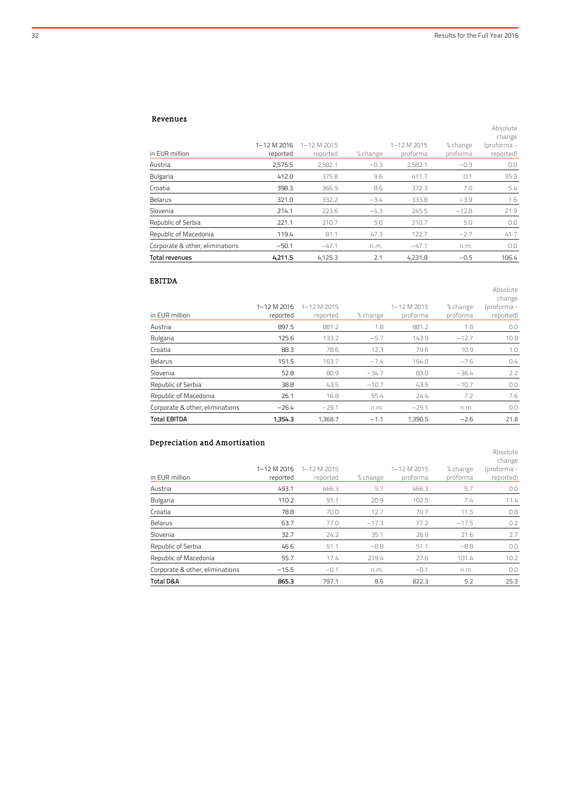Absolute

Absolute

Absolute

#### Revenues

|                                 |             |             |          |             |          | change      |
|---------------------------------|-------------|-------------|----------|-------------|----------|-------------|
|                                 | 1-12 M 2016 | 1-12 M 2015 |          | 1-12 M 2015 | % change | (proforma - |
| in EUR million                  | reported    | reported    | % change | proforma    | proforma | reported)   |
| Austria                         | 2,575.5     | 2,582.1     | $-0.3$   | 2,582.1     | $-0.3$   | 0.0         |
| <b>Bulgaria</b>                 | 412.0       | 375.8       | 9.6      | 411.7       | 0.1      | 35.9        |
| Croatia                         | 398.3       | 366.9       | 8.6      | 372.3       | 7.0      | 5.4         |
| Belarus                         | 321.0       | 332.2       | $-3.4$   | 333.8       | $-3.9$   | 1.6         |
| Slovenia                        | 214.1       | 223.6       | $-4.3$   | 245.5       | $-12.8$  | 21.9        |
| Republic of Serbia              | 221.1       | 210.7       | 5.0      | 210.7       | 5.0      | 0.0         |
| Republic of Macedonia           | 119.4       | 81.1        | 47.3     | 122.7       | $-2.7$   | 41.7        |
| Corporate & other, eliminations | $-50.1$     | $-47.1$     | n.m.     | $-47.1$     | n.m.     | 0.0         |
| Total revenues                  | 4.211.5     | 4,125.3     | 2.1      | 4,231.8     | $-0.5$   | 106.4       |

## EBITDA

|                                 |             |                 |          |             |          | change      |
|---------------------------------|-------------|-----------------|----------|-------------|----------|-------------|
|                                 | 1-12 M 2016 | $1 - 12$ M 2015 |          | 1-12 M 2015 | % change | (proforma - |
| in EUR million                  | reported    | reported        | % change | proforma    | proforma | reported)   |
| Austria                         | 897.5       | 881.2           | 1.8      | 881.2       | 1.8      | 0.0         |
| <b>Bulgaria</b>                 | 125.6       | 133.2           | $-5.7$   | 143.9       | $-12.7$  | 10.8        |
| Croatia                         | 88.3        | 78.6            | 12.3     | 79.6        | 10.9     | 1.0         |
| Belarus                         | 151.5       | 163.7           | $-7.4$   | 164.0       | $-7.6$   | 0.4         |
| Slovenia                        | 52.8        | 80.9            | $-34.7$  | 83.0        | $-36.4$  | 2.2         |
| Republic of Serbia              | 38.8        | 43.5            | $-10.7$  | 43.5        | $-10.7$  | 0.0         |
| Republic of Macedonia           | 26.1        | 16.8            | 55.4     | 24.4        | 7.2      | 7.6         |
| Corporate & other, eliminations | $-26.4$     | $-29.1$         | n.m.     | $-29.1$     | n.m.     | 0.0         |
| <b>Total EBITDA</b>             | 1,354.3     | 1,368.7         | $-1.1$   | 1,390.5     | $-2.6$   | 21.8        |

## Depreciation and Amortisation

|                                 |             |                   |          |             |          | change      |
|---------------------------------|-------------|-------------------|----------|-------------|----------|-------------|
|                                 | 1-12 M 2016 | $1 - 12$ M $2015$ |          | 1-12 M 2015 | % change | (proforma - |
| in EUR million                  | reported    | reported          | % change | proforma    | proforma | reported)   |
| Austria                         | 493.1       | 466.3             | 5.7      | 466.3       | 5.7      | 0.0         |
| Bulgaria                        | 110.2       | 91.1              | 20.9     | 102.5       | 7.4      | 11.4        |
| Croatia                         | 78.8        | 70.0              | 12.7     | 70.7        | 11.5     | 0.8         |
| Belarus                         | 63.7        | 77.0              | $-17.3$  | 77.2        | $-17.5$  | 0.2         |
| Slovenia                        | 32.7        | 24.2              | 35.1     | 26.9        | 21.6     | 2.7         |
| Republic of Serbia              | 46.6        | 51.1              | $-8.8$   | 51.1        | $-8.8$   | 0.0         |
| Republic of Macedonia           | 55.7        | 17.4              | 219.4    | 27.6        | 101.4    | 10.2        |
| Corporate & other, eliminations | $-15.5$     | $-0.1$            | n.m.     | $-0.1$      | n.m.     | 0.0         |
| <b>Total D&amp;A</b>            | 865.3       | 797.1             | 8.6      | 822.3       | 5.2      | 25.3        |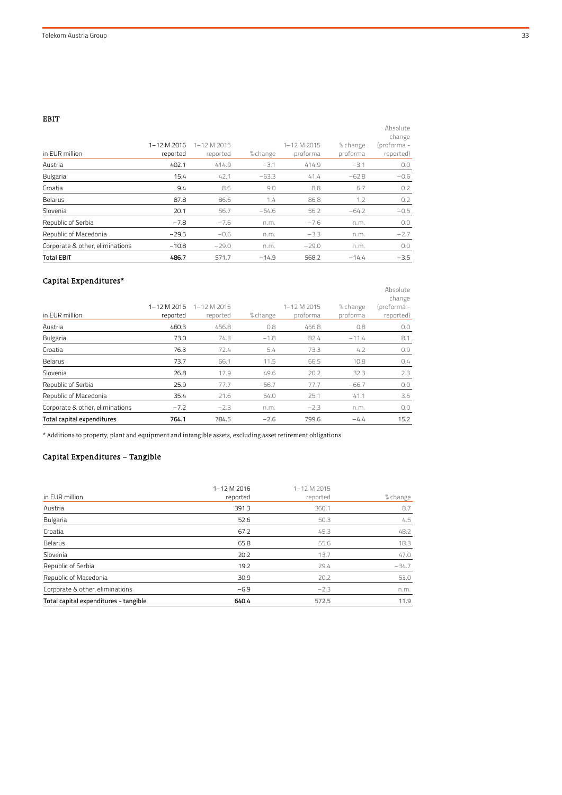EBIT

| in EUR million                  | 1-12 M 2016<br>reported | 1-12 M 2015<br>reported | % change | $1 - 12$ M $2015$<br>proforma | % change<br>proforma | Absolute<br>change<br>(proforma -<br>reported) |
|---------------------------------|-------------------------|-------------------------|----------|-------------------------------|----------------------|------------------------------------------------|
| Austria                         | 402.1                   | 414.9                   | $-3.1$   | 414.9                         | $-3.1$               | 0.0                                            |
| <b>Bulgaria</b>                 | 15.4                    | 42.1                    | $-63.3$  | 41.4                          | $-62.8$              | $-0.6$                                         |
| Croatia                         | 9.4                     | 8.6                     | 9.0      | 8.8                           | 6.7                  | 0.2                                            |
| Belarus                         | 87.8                    | 86.6                    | 1.4      | 86.8                          | 1.2                  | 0.2                                            |
| Slovenia                        | 20.1                    | 56.7                    | $-64.6$  | 56.2                          | $-64.2$              | $-0.5$                                         |
| Republic of Serbia              | $-7.8$                  | $-7.6$                  | n.m.     | $-7.6$                        | n.m.                 | 0.0                                            |
| Republic of Macedonia           | $-29.5$                 | $-0.6$                  | n.m.     | $-3.3$                        | n.m.                 | $-2.7$                                         |
| Corporate & other, eliminations | $-10.8$                 | $-29.0$                 | n.m.     | $-29.0$                       | n.m.                 | 0.0                                            |
| <b>Total EBIT</b>               | 486.7                   | 571.7                   | $-14.9$  | 568.2                         | $-14.4$              | $-3.5$                                         |

## Capital Expenditures\*

|                                 |             |             |          |             |          | Absolute<br>change |
|---------------------------------|-------------|-------------|----------|-------------|----------|--------------------|
|                                 | 1-12 M 2016 | 1-12 M 2015 |          | 1-12 M 2015 | % change | (proforma -        |
| in EUR million                  | reported    | reported    | % change | proforma    | proforma | reported)          |
| Austria                         | 460.3       | 456.8       | 0.8      | 456.8       | 0.8      | 0.0                |
| <b>Bulgaria</b>                 | 73.0        | 74.3        | $-1.8$   | 82.4        | $-11.4$  | 8.1                |
| Croatia                         | 76.3        | 72.4        | 5.4      | 73.3        | 4.2      | 0.9                |
| Belarus                         | 73.7        | 66.1        | 11.5     | 66.5        | 10.8     | 0.4                |
| Slovenia                        | 26.8        | 17.9        | 49.6     | 20.2        | 32.3     | 2.3                |
| Republic of Serbia              | 25.9        | 77.7        | $-66.7$  | 77.7        | $-66.7$  | 0.0                |
| Republic of Macedonia           | 35.4        | 21.6        | 64.0     | 25.1        | 41.1     | 3.5                |
| Corporate & other, eliminations | $-7.2$      | $-2.3$      | n.m.     | $-2.3$      | n.m.     | 0.0                |
| Total capital expenditures      | 764.1       | 784.5       | $-2.6$   | 799.6       | $-4.4$   | 15.2               |

 $^\star$  Additions to property, plant and equipment and intangible assets, excluding asset retirement obligations

## Capital Expenditures – Tangible

|                                       | 1-12 M 2016 | 1-12 M 2015 |          |
|---------------------------------------|-------------|-------------|----------|
| in EUR million                        | reported    | reported    | % change |
| Austria                               | 391.3       | 360.1       | 8.7      |
| <b>Bulgaria</b>                       | 52.6        | 50.3        | 4.5      |
| Croatia                               | 67.2        | 45.3        | 48.2     |
| Belarus                               | 65.8        | 55.6        | 18.3     |
| Slovenia                              | 20.2        | 13.7        | 47.0     |
| Republic of Serbia                    | 19.2        | 29.4        | $-34.7$  |
| Republic of Macedonia                 | 30.9        | 20.2        | 53.0     |
| Corporate & other, eliminations       | $-6.9$      | $-2.3$      | n.m.     |
| Total capital expenditures - tangible | 640.4       | 572.5       | 11.9     |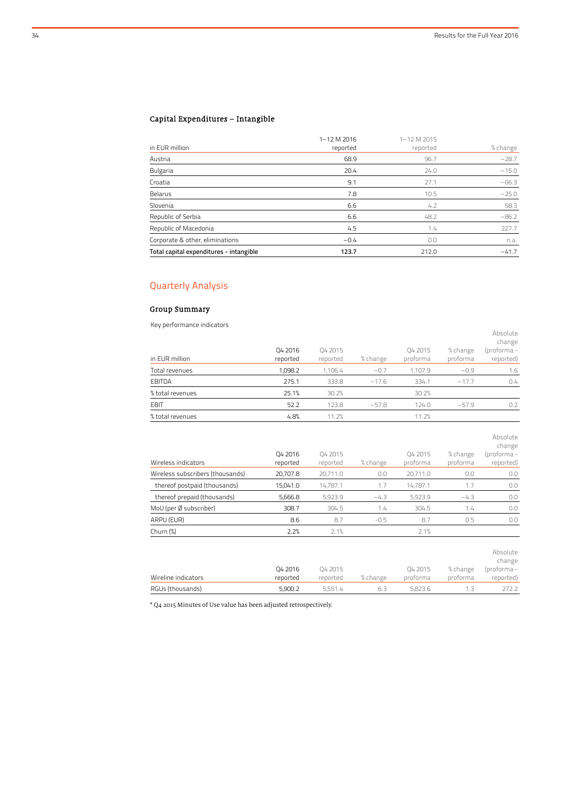reported)

## Capital Expenditures – Intangible

| in EUR million                          | 1-12 M 2016<br>reported | 1-12 M 2015<br>reported | % change |
|-----------------------------------------|-------------------------|-------------------------|----------|
| Austria                                 | 68.9                    | 96.7                    | $-28.7$  |
| Bulgaria                                | 20.4                    | 24.0                    | $-15.0$  |
| Croatia                                 | 9.1                     | 27.1                    | $-66.3$  |
| Belarus                                 | 7.8                     | 10.5                    | $-25.0$  |
| Slovenia                                | 6.6                     | 4.2                     | 58.3     |
| Republic of Serbia                      | 6.6                     | 48.2                    | $-86.2$  |
| Republic of Macedonia                   | 4.5                     | 1.4                     | 227.7    |
| Corporate & other, eliminations         | $-0.4$                  | 0.0                     | n.a.     |
| Total capital expenditures - intangible | 123.7                   | 212.0                   | $-41.7$  |

## Quarterly Analysis

## Group Summary

Key performance indicators

| <b>INCY DEFIORMED RESIDENCE</b><br>in EUR million | 04 2016<br>reported | 04 2015<br>reported | % change | 04 2015<br>proforma | % change<br>proforma | Absolute<br>change<br>(proforma -<br>reported) |
|---------------------------------------------------|---------------------|---------------------|----------|---------------------|----------------------|------------------------------------------------|
| Total revenues                                    | 1,098.2             | 1,106.4             | $-0.7$   | 1,107.9             | $-0.9$               | 1.6                                            |
| <b>EBITDA</b>                                     | 275.1               | 333.8               | $-17.6$  | 334.1               | $-17.7$              | 0.4                                            |
| % total revenues                                  | 25.1%               | 30.2%               |          | 30.2%               |                      |                                                |
| <b>EBIT</b>                                       | 52.2                | 123.8               | $-57.8$  | 124.0               | $-57.9$              | 0.2                                            |
| % total revenues                                  | 4.8%                | 11.2%               |          | 11.2%               |                      |                                                |

| Wireless indicators              | 04 2016<br>reported | 04 2015<br>reported | % change | 04 2015<br>proforma | % change<br>proforma | Absolute<br>change<br>(proforma -<br>reported) |
|----------------------------------|---------------------|---------------------|----------|---------------------|----------------------|------------------------------------------------|
| Wireless subscribers (thousands) | 20,707.8            | 20,711.0            | 0.0      | 20,711.0            | 0.0                  | 0.0                                            |
| thereof postpaid (thousands)     | 15,041.0            | 14,787.1            | 1.7      | 14.787.1            | 1.7                  | 0.0                                            |
| thereof prepaid (thousands)      | 5,666.8             | 5,923.9             | $-4.3$   | 5,923.9             | $-4.3$               | 0.0                                            |
| MoU (per Ø subscriber)           | 308.7               | 304.5               | 1.4      | 304.5               | 1.4                  | 0.0                                            |
| ARPU (EUR)                       | 8.6                 | 8.7                 | $-0.5$   | 8.7                 | 0.5                  | 0.0                                            |
| Churn (%)                        | 2.2%                | 2.1%                |          | 2.1%                |                      |                                                |
|                                  | 04 2016             | 04 2015             |          | 04 2015             | % change             | Absolute<br>change<br>(proforma -              |

| Wireline indicators | reported | reported    |  | ronnrtodi |
|---------------------|----------|-------------|--|-----------|
| RGUs (thousands)    | 5.900.2  | $h \cdot h$ |  |           |
|                     |          |             |  |           |

\* Q4 2015 Minutes of Use value has been adjusted retrospectively.